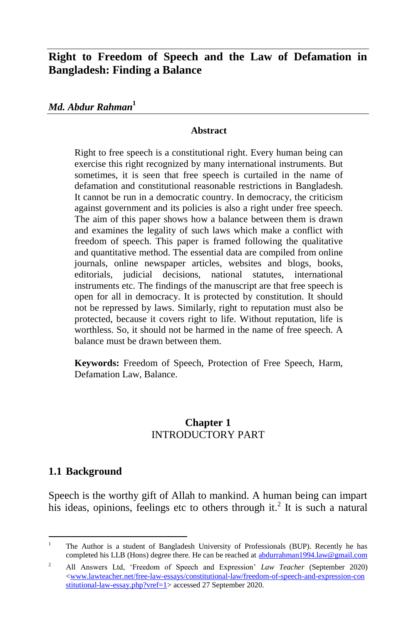## **Right to Freedom of Speech and the Law of Defamation in Bangladesh: Finding a Balance**

*Md. Abdur Rahman***<sup>1</sup>**

#### **Abstract**

Right to free speech is a constitutional right. Every human being can exercise this right recognized by many international instruments. But sometimes, it is seen that free speech is curtailed in the name of defamation and constitutional reasonable restrictions in Bangladesh. It cannot be run in a democratic country. In democracy, the criticism against government and its policies is also a right under free speech. The aim of this paper shows how a balance between them is drawn and examines the legality of such laws which make a conflict with freedom of speech. This paper is framed following the qualitative and quantitative method. The essential data are compiled from online journals, online newspaper articles, websites and blogs, books, editorials, judicial decisions, national statutes, international instruments etc. The findings of the manuscript are that free speech is open for all in democracy. It is protected by constitution. It should not be repressed by laws. Similarly, right to reputation must also be protected, because it covers right to life. Without reputation, life is worthless. So, it should not be harmed in the name of free speech. A balance must be drawn between them.

**Keywords:** Freedom of Speech, Protection of Free Speech, Harm, Defamation Law, Balance.

### **Chapter 1** INTRODUCTORY PART

### **1.1 Background**

Speech is the worthy gift of Allah to mankind. A human being can impart his ideas, opinions, feelings etc to others through it.<sup>2</sup> It is such a natural

 $\overline{a}$ <sup>1</sup> The Author is a student of Bangladesh University of Professionals (BUP). Recently he has completed his LLB (Hons) degree there. He can be reached a[t abdurrahman1994.law@gmail.com](mailto:abdurrahman1994.law@gmail.com)

<sup>2</sup> All Answers Ltd, 'Freedom of Speech and Expression' *Law Teacher* (September 2020) [<www.lawteacher.net/free-law-essays/constitutional-law/freedom-of-speech-and-expression-con](http://www.lawteacher.net/free-law-essays/constitutional-law/freedom-of-speech-and-expression-con%20stitutional-law-essay.php?vref=1)  [stitutional-law-essay.php?vref=1>](http://www.lawteacher.net/free-law-essays/constitutional-law/freedom-of-speech-and-expression-con%20stitutional-law-essay.php?vref=1) accessed 27 September 2020.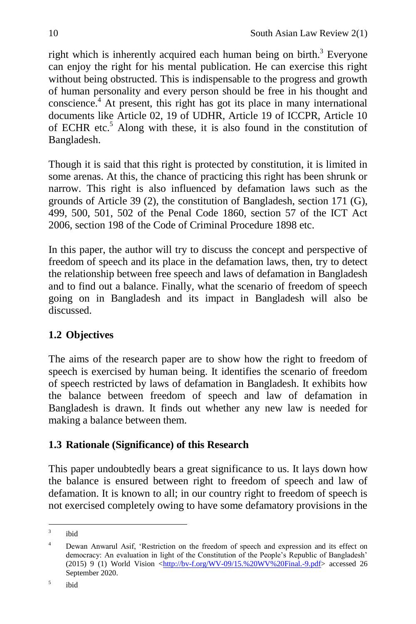right which is inherently acquired each human being on birth.<sup>3</sup> Everyone can enjoy the right for his mental publication. He can exercise this right without being obstructed. This is indispensable to the progress and growth of human personality and every person should be free in his thought and conscience.<sup>4</sup> At present, this right has got its place in many international documents like Article 02, 19 of UDHR, Article 19 of ICCPR, Article 10 of ECHR etc.<sup>5</sup> Along with these, it is also found in the constitution of Bangladesh.

Though it is said that this right is protected by constitution, it is limited in some arenas. At this, the chance of practicing this right has been shrunk or narrow. This right is also influenced by defamation laws such as the grounds of Article 39 (2), the constitution of Bangladesh, section 171 (G), 499, 500, 501, 502 of the Penal Code 1860, section 57 of the ICT Act 2006, section 198 of the Code of Criminal Procedure 1898 etc.

In this paper, the author will try to discuss the concept and perspective of freedom of speech and its place in the defamation laws, then, try to detect the relationship between free speech and laws of defamation in Bangladesh and to find out a balance. Finally, what the scenario of freedom of speech going on in Bangladesh and its impact in Bangladesh will also be discussed.

# **1.2 Objectives**

The aims of the research paper are to show how the right to freedom of speech is exercised by human being. It identifies the scenario of freedom of speech restricted by laws of defamation in Bangladesh. It exhibits how the balance between freedom of speech and law of defamation in Bangladesh is drawn. It finds out whether any new law is needed for making a balance between them.

## **1.3 Rationale (Significance) of this Research**

This paper undoubtedly bears a great significance to us. It lays down how the balance is ensured between right to freedom of speech and law of defamation. It is known to all; in our country right to freedom of speech is not exercised completely owing to have some defamatory provisions in the

<sup>&</sup>lt;sup>-</sup><br>3 ibid

<sup>&</sup>lt;sup>4</sup> Dewan Anwarul Asif, 'Restriction on the freedom of speech and expression and its effect on democracy: An evaluation in light of the Constitution of the People's Republic of Bangladesh' (2015) 9 (1) World Vision  $\frac{\text{http://bv-f.org/WV-09/15.%20WV%20Final.-9.pdf}}{$  accessed 26 September 2020.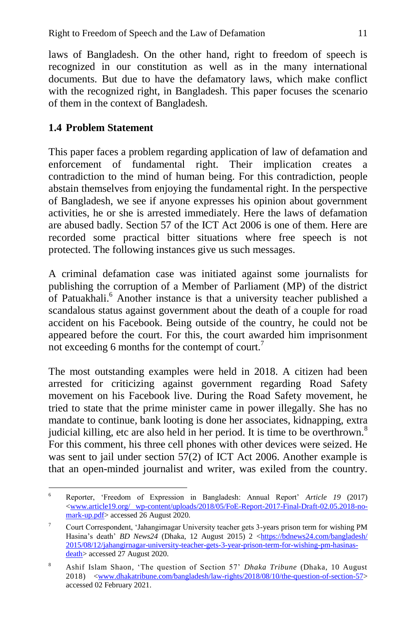laws of Bangladesh. On the other hand, right to freedom of speech is recognized in our constitution as well as in the many international documents. But due to have the defamatory laws, which make conflict with the recognized right, in Bangladesh. This paper focuses the scenario of them in the context of Bangladesh.

# **1.4 Problem Statement**

This paper faces a problem regarding application of law of defamation and enforcement of fundamental right. Their implication creates a contradiction to the mind of human being. For this contradiction, people abstain themselves from enjoying the fundamental right. In the perspective of Bangladesh, we see if anyone expresses his opinion about government activities, he or she is arrested immediately. Here the laws of defamation are abused badly. Section 57 of the ICT Act 2006 is one of them. Here are recorded some practical bitter situations where free speech is not protected. The following instances give us such messages.

A criminal defamation case was initiated against some journalists for publishing the corruption of a Member of Parliament (MP) of the district of Patuakhali.<sup>6</sup> Another instance is that a university teacher published a scandalous status against government about the death of a couple for road accident on his Facebook. Being outside of the country, he could not be appeared before the court. For this, the court awarded him imprisonment not exceeding 6 months for the contempt of court.<sup>7</sup>

The most outstanding examples were held in 2018. A citizen had been arrested for criticizing against government regarding Road Safety movement on his Facebook live. During the Road Safety movement, he tried to state that the prime minister came in power illegally. She has no mandate to continue, bank looting is done her associates, kidnapping, extra judicial killing, etc are also held in her period. It is time to be overthrown.<sup>8</sup> For this comment, his three cell phones with other devices were seized. He was sent to jail under section 57(2) of ICT Act 2006. Another example is that an open-minded journalist and writer, was exiled from the country.

 $\overline{a}$ <sup>6</sup> Reporter, 'Freedom of Expression in Bangladesh: Annual Report' *Article 19* (2017) [<www.article19.org/ wp-content/uploads/2018/05/FoE-Report-2017-Final-Draft-02.05.2018-no](http://www.article19.org/%20wp-content/uploads/2018/05/FoE-Report-2017-Final-Draft-02.05.2018-no-mark-up.pdf)[mark-up.pdf>](http://www.article19.org/%20wp-content/uploads/2018/05/FoE-Report-2017-Final-Draft-02.05.2018-no-mark-up.pdf) accessed 26 August 2020.

<sup>7</sup> Court Correspondent, 'Jahangirnagar University teacher gets 3-years prison term for wishing PM Hasina's death' *BD News24* (Dhaka, 12 August 2015) 2 <https://bdnews24.com/bangladesh/ [2015/08/12/jahangirnagar-university-teacher-gets-3-year-prison-term-for-wishing-pm-hasinas](https://bdnews24.com/bangladesh/%202015/08/12/jahangirnagar-university-teacher-gets-3-year-prison-term-for-wishing-pm-hasinas-death)death accessed 27 August 2020.

<sup>8</sup> [Ashif Islam Shaon,](https://www.dhakatribune.com/author/ashif-islam-shaon) 'The question of Section 57' *Dhaka Tribune* (Dhaka, 10 August 2018) [<www.dhakatribune.com/bangladesh/law-rights/2018/08/10/the-question-of-section-57>](http://www.dhakatribune.com/bangladesh/law-rights/2018/08/10/the-question-of-section-57) accessed 02 February 2021.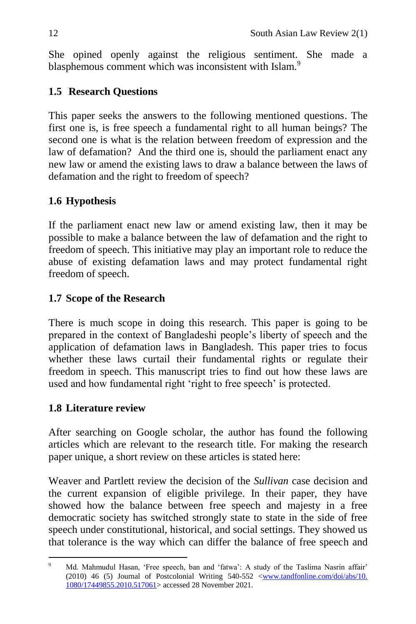She opined openly against the religious sentiment. She made a blasphemous comment which was inconsistent with Islam.<sup>9</sup>

# **1.5 Research Questions**

This paper seeks the answers to the following mentioned questions. The first one is, is free speech a fundamental right to all human beings? The second one is what is the relation between freedom of expression and the law of defamation? And the third one is, should the parliament enact any new law or amend the existing laws to draw a balance between the laws of defamation and the right to freedom of speech?

# **1.6 Hypothesis**

If the parliament enact new law or amend existing law, then it may be possible to make a balance between the law of defamation and the right to freedom of speech. This initiative may play an important role to reduce the abuse of existing defamation laws and may protect fundamental right freedom of speech.

## **1.7 Scope of the Research**

There is much scope in doing this research. This paper is going to be prepared in the context of Bangladeshi people's liberty of speech and the application of defamation laws in Bangladesh. This paper tries to focus whether these laws curtail their fundamental rights or regulate their freedom in speech. This manuscript tries to find out how these laws are used and how fundamental right 'right to free speech' is protected.

## **1.8 Literature review**

After searching on Google scholar, the author has found the following articles which are relevant to the research title. For making the research paper unique, a short review on these articles is stated here:

Weaver and Partlett review the decision of the *Sullivan* case decision and the current expansion of eligible privilege. In their paper, they have showed how the balance between free speech and majesty in a free democratic society has switched strongly state to state in the side of free speech under constitutional, historical, and social settings. They showed us that tolerance is the way which can differ the balance of free speech and

 $\overline{a}$ Md. Mahmudul Hasan, 'Free speech, ban and 'fatwa': A study of the Taslima Nasrin affair' (2010) 46 (5) Journal of Postcolonial Writing  $540-552 \leq$ www.tandfonline.com/doi/abs/10. [1080/17449855.2010.517061>](http://www.tandfonline.com/doi/abs/10.%201080/17449855.2010.517061) accessed 28 November 2021.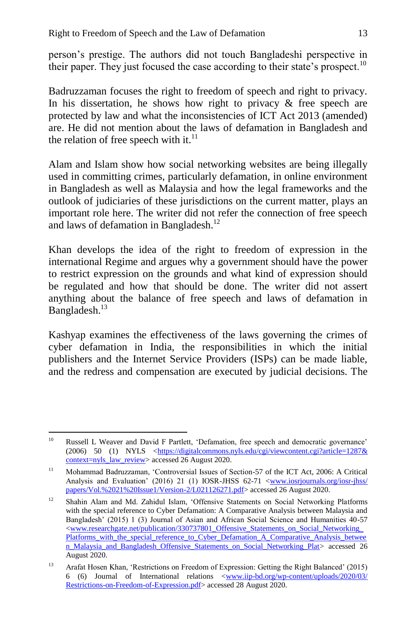person's prestige. The authors did not touch Bangladeshi perspective in their paper. They just focused the case according to their state's prospect.<sup>10</sup>

Badruzzaman focuses the right to freedom of speech and right to privacy. In his dissertation, he shows how right to privacy  $\&$  free speech are protected by law and what the inconsistencies of ICT Act 2013 (amended) are. He did not mention about the laws of defamation in Bangladesh and the relation of free speech with it. $^{11}$ 

Alam and Islam show how social networking websites are being illegally used in committing crimes, particularly defamation, in online environment in Bangladesh as well as Malaysia and how the legal frameworks and the outlook of judiciaries of these jurisdictions on the current matter, plays an important role here. The writer did not refer the connection of free speech and laws of defamation in Bangladesh.<sup>12</sup>

Khan develops the idea of the right to freedom of expression in the international Regime and argues why a government should have the power to restrict expression on the grounds and what kind of expression should be regulated and how that should be done. The writer did not assert anything about the balance of free speech and laws of defamation in Bangladesh.<sup>13</sup>

Kashyap examines the effectiveness of the laws governing the crimes of cyber defamation in India, the responsibilities in which the initial publishers and the Internet Service Providers (ISPs) can be made liable, and the redress and compensation are executed by judicial decisions. The

 $10<sup>10</sup>$ Russell L Weaver and David F Partlett, 'Defamation, free speech and democratic governance' (2006) 50 (1) NYLS <https://digitalcommons.nyls.edu/cgi/viewcontent.cgi?article=1287& [context=nyls\\_law\\_review>](https://digitalcommons.nyls.edu/cgi/viewcontent.cgi?article=1287&%20context=nyls_law_review) accessed 26 August 2020.

<sup>&</sup>lt;sup>11</sup> Mohammad Badruzzaman, 'Controversial Issues of Section-57 of the ICT Act, 2006: A Critical Analysis and Evaluation' (2016) 21 (1) IOSR-JHSS 62-71 <www.iosrjournals.org/iosr-jhss/ [papers/Vol.%2021%20Issue1/Version-2/L021126271.pdf>](http://www.iosrjournals.org/iosr-jhss/%20papers/Vol.%2021%20Issue1/Version-2/L021126271.pdf) accessed 26 August 2020.

<sup>&</sup>lt;sup>12</sup> Shahin Alam and Md. Zahidul Islam, 'Offensive Statements on Social Networking Platforms with the special reference to Cyber Defamation: A Comparative Analysis between Malaysia and Bangladesh' (2015) 1 (3) Journal of Asian and African Social Science and Humanities 40-57  $\langle$ www.researchgate.net/publication/330737801\_Offensive\_Statements\_on\_Social\_Networking\_ [Platforms\\_with\\_the\\_special\\_reference\\_to\\_Cyber\\_Defamation\\_A\\_Comparative\\_Analysis\\_betwee](http://www.researchgate.net/publication/330737801_Offensive_Statements_on_Social_Networking_Platforms_with_the_special_reference_to_Cyber_Defamation_A_Comparative_Analysis_between_Malaysia_and_Bangladesh_Offensive_Statements_on_Social_Networking_Plat) [n\\_Malaysia\\_and\\_Bangladesh\\_Offensive\\_Statements\\_on\\_Social\\_Networking\\_Plat>](http://www.researchgate.net/publication/330737801_Offensive_Statements_on_Social_Networking_Platforms_with_the_special_reference_to_Cyber_Defamation_A_Comparative_Analysis_between_Malaysia_and_Bangladesh_Offensive_Statements_on_Social_Networking_Plat) accessed 26 August 2020.

<sup>&</sup>lt;sup>13</sup> Arafat Hosen Khan, 'Restrictions on Freedom of Expression: Getting the Right Balanced' (2015) 6 (6) Journal of International relations [<www.iip-bd.org/wp-content/uploads/2020/03/](http://www.iip-bd.org/wp-content/uploads/2020/03/%20Restrictions-on-Freedom-of-Expression.pdf)  [Restrictions-on-Freedom-of-Expression.pdf>](http://www.iip-bd.org/wp-content/uploads/2020/03/%20Restrictions-on-Freedom-of-Expression.pdf) accessed 28 August 2020.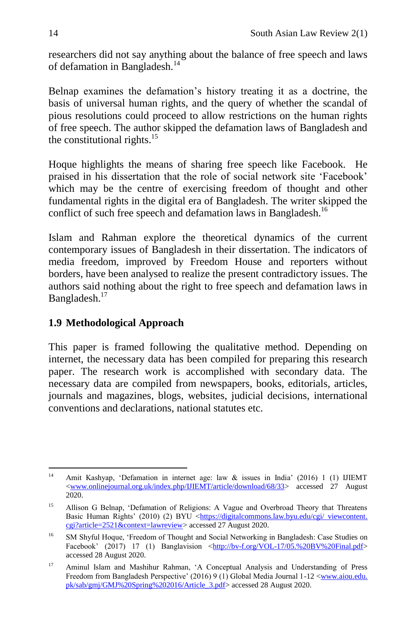researchers did not say anything about the balance of free speech and laws of defamation in Bangladesh.<sup>14</sup>

Belnap examines the defamation's history treating it as a doctrine, the basis of universal human rights, and the query of whether the scandal of pious resolutions could proceed to allow restrictions on the human rights of free speech. The author skipped the defamation laws of Bangladesh and the constitutional rights. $15$ 

Hoque highlights the means of sharing free speech like Facebook. He praised in his dissertation that the role of social network site 'Facebook' which may be the centre of exercising freedom of thought and other fundamental rights in the digital era of Bangladesh. The writer skipped the conflict of such free speech and defamation laws in Bangladesh.<sup>16</sup>

Islam and Rahman explore the theoretical dynamics of the current contemporary issues of Bangladesh in their dissertation. The indicators of media freedom, improved by Freedom House and reporters without borders, have been analysed to realize the present contradictory issues. The authors said nothing about the right to free speech and defamation laws in Bangladesh.<sup>17</sup>

## **1.9 Methodological Approach**

This paper is framed following the qualitative method. Depending on internet, the necessary data has been compiled for preparing this research paper. The research work is accomplished with secondary data. The necessary data are compiled from newspapers, books, editorials, articles, journals and magazines, blogs, websites, judicial decisions, international conventions and declarations, national statutes etc.

 $14$ Amit Kashyap, 'Defamation in internet age: law  $\&$  issues in India' (2016) 1 (1) IJIEMT [<www.onlinejournal.org.uk/index.php/IJIEMT/article/download/68/33>](http://www.onlinejournal.org.uk/index.php/IJIEMT/article/download/68/33) accessed 27 August 2020.

<sup>&</sup>lt;sup>15</sup> Allison G Belnap, 'Defamation of Religions: A Vague and Overbroad Theory that Threatens Basic Human Rights' (2010) (2) BYU <https://digitalcommons.law.byu.edu/cgi/ viewcontent. [cgi?article=2521&context=lawreview>](https://digitalcommons.law.byu.edu/cgi/%20viewcontent.%20cgi?article=2521&context=lawreview) accessed 27 August 2020.

<sup>&</sup>lt;sup>16</sup> SM Shyful Hoque, 'Freedom of Thought and Social Networking in Bangladesh: Case Studies on Facebook' (2017) 17 (1) Banglavision [<http://bv-f.org/VOL-17/05.%20BV%20Final.pdf>](http://bv-f.org/VOL-17/05.%20BV%20Final.pdf) accessed 28 August 2020.

<sup>&</sup>lt;sup>17</sup> Aminul Islam and Mashihur Rahman, 'A Conceptual Analysis and Understanding of Press Freedom from Bangladesh Perspective' (2016) 9 (1) Global Media Journal 1-12 <www.aiou.edu. pk/sab/gmj/GMJ%20Spring%202016/Article\_3.pdf> accessed 28 August 2020.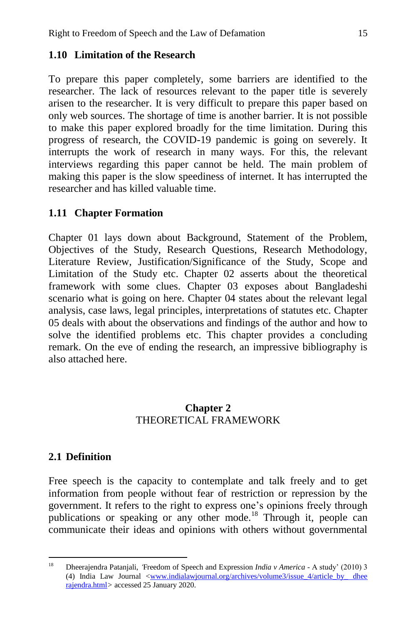### **1.10 Limitation of the Research**

To prepare this paper completely, some barriers are identified to the researcher. The lack of resources relevant to the paper title is severely arisen to the researcher. It is very difficult to prepare this paper based on only web sources. The shortage of time is another barrier. It is not possible to make this paper explored broadly for the time limitation. During this progress of research, the COVID-19 pandemic is going on severely. It interrupts the work of research in many ways. For this, the relevant interviews regarding this paper cannot be held. The main problem of making this paper is the slow speediness of internet. It has interrupted the researcher and has killed valuable time.

### **1.11 Chapter Formation**

Chapter 01 lays down about Background, Statement of the Problem, Objectives of the Study, Research Questions, Research Methodology, Literature Review, Justification/Significance of the Study, Scope and Limitation of the Study etc. Chapter 02 asserts about the theoretical framework with some clues. Chapter 03 exposes about Bangladeshi scenario what is going on here. Chapter 04 states about the relevant legal analysis, case laws, legal principles, interpretations of statutes etc. Chapter 05 deals with about the observations and findings of the author and how to solve the identified problems etc. This chapter provides a concluding remark. On the eve of ending the research, an impressive bibliography is also attached here.

### **Chapter 2** THEORETICAL FRAMEWORK

### **2.1 Definition**

Free speech is the capacity to contemplate and talk freely and to get information from people without fear of restriction or repression by the government. It refers to the right to express one's opinions freely through publications or speaking or any other mode.<sup>18</sup> Through it, people can communicate their ideas and opinions with others without governmental

<sup>18</sup> <sup>18</sup> Dheerajendra Patanjali, *'*Freedom of Speech and Expression *India v America* - A study' (2010) 3 (4) India Law Journal [<www.indialawjournal.org/archives/volume3/issue\\_4/article\\_by\\_ dhee](http://www.indialawjournal.org/archives/volume3/issue_4/article_by_%20dhee%20rajendra.html)  [rajendra.html](http://www.indialawjournal.org/archives/volume3/issue_4/article_by_%20dhee%20rajendra.html)*>* accessed 25 January 2020.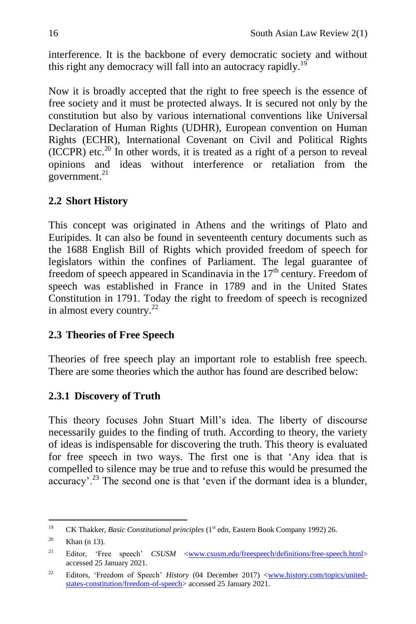interference. It is the backbone of every democratic society and without this right any democracy will fall into an autocracy rapidly.<sup>19</sup>

Now it is broadly accepted that the right to free speech is the essence of free society and it must be protected always. It is secured not only by the constitution but also by various international conventions like Universal Declaration of Human Rights (UDHR), European convention on Human Rights (ECHR), International Covenant on Civil and Political Rights  $(ICCPR)$  etc.<sup>20</sup> In other words, it is treated as a right of a person to reveal opinions and ideas without interference or retaliation from the government. $21$ 

## **2.2 Short History**

This concept was originated in Athens and the writings of Plato and Euripides. It can also be found in seventeenth century documents such as the 1688 English Bill of Rights which provided freedom of speech for legislators within the confines of Parliament. The legal guarantee of freedom of speech appeared in Scandinavia in the  $17<sup>th</sup>$  century. Freedom of speech was established in France in 1789 and in the United States Constitution in 1791. Today the right to freedom of speech is recognized in almost every country.<sup>22</sup>

### **2.3 Theories of Free Speech**

Theories of free speech play an important role to establish free speech. There are some theories which the author has found are described below:

## **2.3.1 Discovery of Truth**

This theory focuses John Stuart Mill's idea. The liberty of discourse necessarily guides to the finding of truth. According to theory, the variety of ideas is indispensable for discovering the truth. This theory is evaluated for free speech in two ways. The first one is that 'Any idea that is compelled to silence may be true and to refuse this would be presumed the  $\arccos(1.23)$ <sup>23</sup> The second one is that 'even if the dormant idea is a blunder,

<sup>19</sup> <sup>19</sup> CK Thakker, *Basic Constitutional principles* (1st edn, Eastern Book Company 1992) 26.

 $20$  Khan (n 13).

<sup>&</sup>lt;sup>21</sup> Editor, 'Free speech' *CSUSM* <<u>www.csusm.edu/freespeech/definitions/free-speech.html</u>> accessed 25 January 2021.

<sup>&</sup>lt;sup>22</sup> Editors, 'Freedom of Speech' *History* (04 December 2017) <<u>www.history.com/topics/united-</u> [states-constitution/freedom-of-speech>](http://www.history.com/topics/united-states-constitution/freedom-of-speech) accessed 25 January 2021.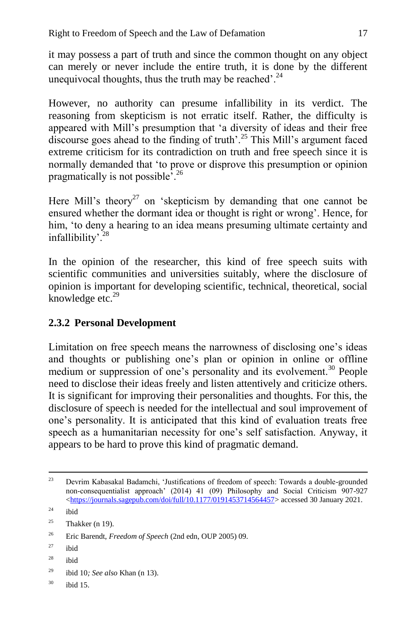it may possess a part of truth and since the common thought on any object can merely or never include the entire truth, it is done by the different unequivocal thoughts, thus the truth may be reached'. $^{24}$ 

However, no authority can presume infallibility in its verdict. The reasoning from skepticism is not erratic itself. Rather, the difficulty is appeared with Mill's presumption that 'a diversity of ideas and their free discourse goes ahead to the finding of truth'.<sup>25</sup> This Mill's argument faced extreme criticism for its contradiction on truth and free speech since it is normally demanded that 'to prove or disprove this presumption or opinion pragmatically is not possible'.<sup>26</sup>

Here Mill's theory<sup>27</sup> on 'skepticism by demanding that one cannot be ensured whether the dormant idea or thought is right or wrong'. Hence, for him, 'to deny a hearing to an idea means presuming ultimate certainty and infallibility'.<sup>28</sup>

In the opinion of the researcher, this kind of free speech suits with scientific communities and universities suitably, where the disclosure of opinion is important for developing scientific, technical, theoretical, social knowledge etc. $29$ 

### **2.3.2 Personal Development**

Limitation on free speech means the narrowness of disclosing one's ideas and thoughts or publishing one's plan or opinion in online or offline medium or suppression of one's personality and its evolvement.<sup>30</sup> People need to disclose their ideas freely and listen attentively and criticize others. It is significant for improving their personalities and thoughts. For this, the disclosure of speech is needed for the intellectual and soul improvement of one's personality. It is anticipated that this kind of evaluation treats free speech as a humanitarian necessity for one's self satisfaction. Anyway, it appears to be hard to prove this kind of pragmatic demand.

<sup>28</sup> ibid

 $30$  ibid 15.

 $2<sub>3</sub>$ <sup>23</sup> Devrim Kabasakal Badamchi, 'Justifications of freedom of speech: Towards a double-grounded non-consequentialist approach' (2014) 41 (09) Philosophy and Social Criticism 907-927 [<https://journals.sagepub.com/doi/full/10.1177/0191453714564457>](https://journals.sagepub.com/doi/full/10.1177/0191453714564457) accessed 30 January 2021.

 $^{24}$  ibid

<sup>&</sup>lt;sup>25</sup> Thakker (n 19).

<sup>26</sup> Eric Barendt, *Freedom of Speech* (2nd edn, OUP 2005) 09.

 $27$  ibid

<sup>29</sup> ibid 10*; See also* Khan (n 13).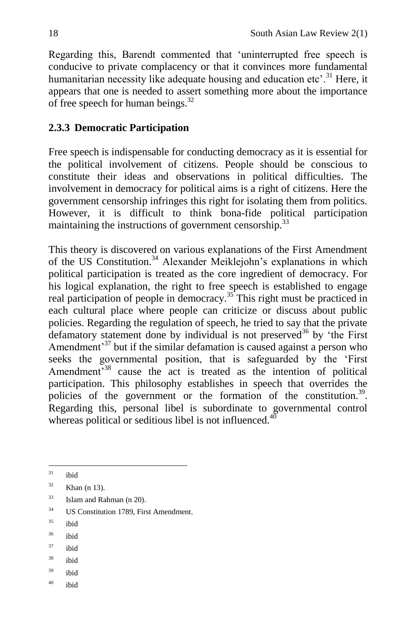Regarding this, Barendt commented that 'uninterrupted free speech is conducive to private complacency or that it convinces more fundamental humanitarian necessity like adequate housing and education etc'.<sup>31</sup> Here, it appears that one is needed to assert something more about the importance of free speech for human beings. $^{32}$ 

## **2.3.3 Democratic Participation**

Free speech is indispensable for conducting democracy as it is essential for the political involvement of citizens. People should be conscious to constitute their ideas and observations in political difficulties. The involvement in democracy for political aims is a right of citizens. Here the government censorship infringes this right for isolating them from politics. However, it is difficult to think bona-fide political participation maintaining the instructions of government censorship.<sup>33</sup>

This theory is discovered on various explanations of the First Amendment of the US Constitution.<sup>34</sup> Alexander Meiklejohn's explanations in which political participation is treated as the core ingredient of democracy. For his logical explanation, the right to free speech is established to engage real participation of people in democracy.<sup>35</sup> This right must be practiced in each cultural place where people can criticize or discuss about public policies. Regarding the regulation of speech, he tried to say that the private defamatory statement done by individual is not preserved<sup>36</sup> by 'the First Amendment<sup>37</sup> but if the similar defamation is caused against a person who seeks the governmental position, that is safeguarded by the 'First Amendment<sup>338</sup> cause the act is treated as the intention of political participation. This philosophy establishes in speech that overrides the policies of the government or the formation of the constitution.<sup>39</sup>. Regarding this, personal libel is subordinate to governmental control whereas political or seditious libel is not influenced. $40$ 

- <sup>35</sup> ibid
- <sup>36</sup> ibid
- <sup>37</sup> ibid
- $38$  ibid
- $39$  ibid
- $40$  ibid

 $31$ ibid

 $32$  Khan (n 13).

 $33$  Islam and Rahman (n 20).

<sup>&</sup>lt;sup>34</sup> US Constitution 1789. First Amendment.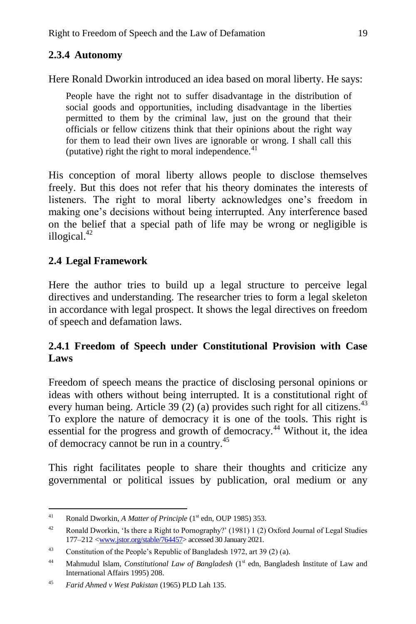## **2.3.4 Autonomy**

Here Ronald Dworkin introduced an idea based on moral liberty. He says:

People have the right not to suffer disadvantage in the distribution of social goods and opportunities, including disadvantage in the liberties permitted to them by the criminal law, just on the ground that their officials or fellow citizens think that their opinions about the right way for them to lead their own lives are ignorable or wrong. I shall call this (putative) right the right to moral independence. $41$ 

His conception of moral liberty allows people to disclose themselves freely. But this does not refer that his theory dominates the interests of listeners. The right to moral liberty acknowledges one's freedom in making one's decisions without being interrupted. Any interference based on the belief that a special path of life may be wrong or negligible is illogical.<sup>42</sup>

## **2.4 Legal Framework**

Here the author tries to build up a legal structure to perceive legal directives and understanding. The researcher tries to form a legal skeleton in accordance with legal prospect. It shows the legal directives on freedom of speech and defamation laws.

### **2.4.1 Freedom of Speech under Constitutional Provision with Case Laws**

Freedom of speech means the practice of disclosing personal opinions or ideas with others without being interrupted. It is a constitutional right of every human being. Article 39 (2) (a) provides such right for all citizens.<sup>43</sup> To explore the nature of democracy it is one of the tools. This right is essential for the progress and growth of democracy.<sup>44</sup> Without it, the idea of democracy cannot be run in a country.<sup>45</sup>

This right facilitates people to share their thoughts and criticize any governmental or political issues by publication, oral medium or any

 $41$ Ronald Dworkin, *A Matter of Principle* (1<sup>st</sup> edn, OUP 1985) 353.

<sup>&</sup>lt;sup>42</sup> Ronald Dworkin, 'Is there a Right to Pornography?' (1981) 1 (2) Oxford Journal of Legal Studies 177–212 [<www.jstor.org/stable/764457>](http://www.jstor.org/stable/764457) accessed 30 January 2021.

<sup>&</sup>lt;sup>43</sup> Constitution of the People's Republic of Bangladesh 1972, art 39 (2) (a).

<sup>&</sup>lt;sup>44</sup> Mahmudul Islam, *Constitutional Law of Bangladesh* (1<sup>st</sup> edn, Bangladesh Institute of Law and International Affairs 1995) 208.

<sup>45</sup> *Farid Ahmed v West Pakistan* (1965) PLD Lah 135.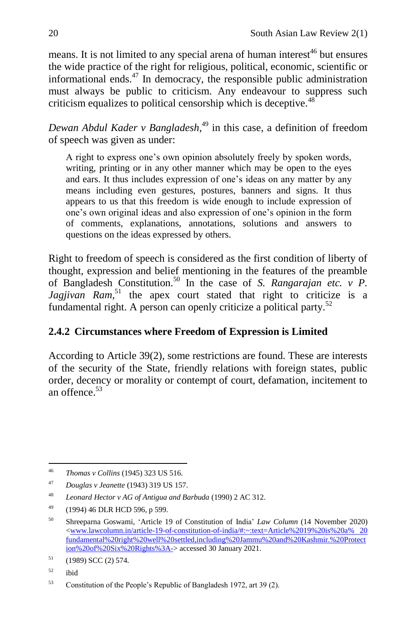means. It is not limited to any special arena of human interest<sup>46</sup> but ensures the wide practice of the right for religious, political, economic, scientific or informational ends. $47$  In democracy, the responsible public administration must always be public to criticism. Any endeavour to suppress such criticism equalizes to political censorship which is deceptive.<sup>48</sup>

*Dewan Abdul Kader v Bangladesh*, <sup>49</sup> in this case*,* a definition of freedom of speech was given as under:

A right to express one's own opinion absolutely freely by spoken words, writing, printing or in any other manner which may be open to the eyes and ears. It thus includes expression of one's ideas on any matter by any means including even gestures, postures, banners and signs. It thus appears to us that this freedom is wide enough to include expression of one's own original ideas and also expression of one's opinion in the form of comments, explanations, annotations, solutions and answers to questions on the ideas expressed by others.

Right to freedom of speech is considered as the first condition of liberty of thought, expression and belief mentioning in the features of the preamble of Bangladesh Constitution.<sup>50</sup> In the case of *S. Rangarajan etc. v P.* Jagjivan Ram<sup>51</sup> the apex court stated that right to criticize is a fundamental right. A person can openly criticize a political party.<sup>52</sup>

## **2.4.2 Circumstances where Freedom of Expression is Limited**

According to Article 39(2), some restrictions are found. These are interests of the security of the State, friendly relations with foreign states, public order, decency or morality or contempt of court, defamation, incitement to an offence.<sup>53</sup>

 $46$ <sup>46</sup> *Thomas v Collins* (1945) 323 US 516.

<sup>47</sup> *Douglas v Jeanette* (1943) 319 US 157.

<sup>48</sup> *Leonard Hector v AG of Antigua and Barbuda* (1990) 2 AC 312.

 $^{49}$  (1994) 46 DLR HCD 596, p 599.

<sup>50</sup> [Shreeparna](https://www.lawcolumn.in/author/shreeparna/) Goswami, 'Article 19 of Constitution of India' *Law Column* (14 November 2020) [<www.lawcolumn.in/article-19-of-constitution-of-india/#:~:text=Article%2019%20is%20a% 20](http://www.lawcolumn.in/article-19-of-constitution-of-india/#:~:text=Article%2019%20is%20a% 20 fundamental%20right%20well%20settled,including%20Jammu%20and%20Kashmir.%20Protection%20of%20Six%20Rights%3A-)  [fundamental%20right%20well%20settled,including%20Jammu%20and%20Kashmir.%20Protect](http://www.lawcolumn.in/article-19-of-constitution-of-india/#:~:text=Article%2019%20is%20a% 20 fundamental%20right%20well%20settled,including%20Jammu%20and%20Kashmir.%20Protection%20of%20Six%20Rights%3A-) [ion%20of%20Six%20Rights%3A->](http://www.lawcolumn.in/article-19-of-constitution-of-india/#:~:text=Article%2019%20is%20a% 20 fundamental%20right%20well%20settled,including%20Jammu%20and%20Kashmir.%20Protection%20of%20Six%20Rights%3A-) accessed 30 January 2021.

 $51$  (1989) SCC (2) 574.

<sup>52</sup> ibid

<sup>53</sup> Constitution of the People's Republic of Bangladesh 1972, art 39 (2).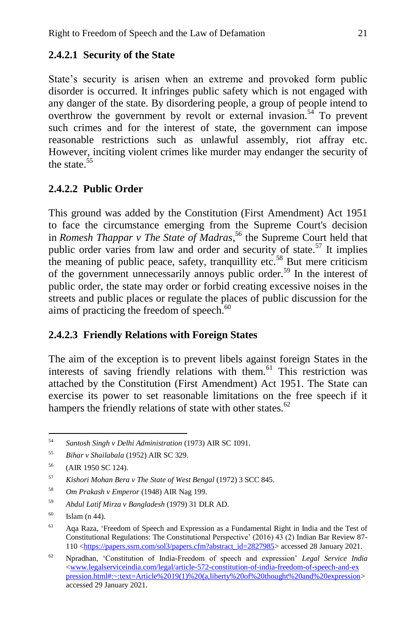### **2.4.2.1 Security of the State**

State's security is arisen when an extreme and provoked form public disorder is occurred. It infringes public safety which is not engaged with any danger of the state. By disordering people, a group of people intend to overthrow the government by revolt or external invasion.<sup>54</sup> To prevent such crimes and for the interest of state, the government can impose reasonable restrictions such as unlawful assembly, riot affray etc. However, inciting violent crimes like murder may endanger the security of the state  $55$ 

## **2.4.2.2 Public Order**

This ground was added by the Constitution (First Amendment) Act 1951 to face the circumstance emerging from the Supreme Court's decision in *Romesh Thappar v The State of Madras*, <sup>56</sup> the Supreme Court held that public order varies from law and order and security of state.<sup>57</sup> It implies the meaning of public peace, safety, tranquillity etc.<sup>58</sup> But mere criticism of the government unnecessarily annoys public order.<sup>59</sup> In the interest of public order, the state may order or forbid creating excessive noises in the streets and public places or regulate the places of public discussion for the aims of practicing the freedom of speech. $60$ 

### **2.4.2.3 Friendly Relations with Foreign States**

The aim of the exception is to prevent libels against foreign States in the interests of saving friendly relations with them.<sup>61</sup> This restriction was attached by the Constitution (First Amendment) Act 1951. The State can exercise its power to set reasonable limitations on the free speech if it hampers the friendly relations of state with other states.<sup>62</sup>

<sup>54</sup> <sup>54</sup> *Santosh Singh v Delhi Administration* (1973) AIR SC 1091.

<sup>55</sup> *Bihar v Shailabala* (1952) AIR SC 329.

<sup>56</sup> (AIR 1950 SC 124).

<sup>57</sup> *Kishori Mohan Bera v The State of West Bengal* (1972) 3 SCC 845.

<sup>58</sup> *Om Prakash v Emperor* (1948) AIR Nag 199.

<sup>59</sup> *Abdul Latif Mirza v Bangladesh* (1979) 31 DLR AD.

 $^{60}$  Islam (n 44).

<sup>&</sup>lt;sup>61</sup> Aqa Raza, 'Freedom of Speech and Expression as a Fundamental Right in India and the Test of Constitutional Regulations: The Constitutional Perspective' (2016) 43 (2) Indian Bar Review 87- 110 [<https://papers.ssrn.com/sol3/papers.cfm?abstract\\_id=2827985>](https://papers.ssrn.com/sol3/papers.cfm?abstract_id=2827985) accessed 28 January 2021.

<sup>62</sup> Npradhan, 'Constitution of India-Freedom of speech and expression' *Legal Service India* [<www.legalserviceindia.com/legal/article-572-constitution-of-india-freedom-of-speech-and-ex](http://www.legalserviceindia.com/legal/article-572-constitution-of-india-freedom-of-speech-and-ex%20pression.html#:~:text=Article%2019(1)%20(a,liberty%20of%20thought%20and%20expression)  [pression.html#:~:text=Article%2019\(1\)%20\(a,liberty%20of%20thought%20and%20expression>](http://www.legalserviceindia.com/legal/article-572-constitution-of-india-freedom-of-speech-and-ex%20pression.html#:~:text=Article%2019(1)%20(a,liberty%20of%20thought%20and%20expression) accessed 29 January 2021.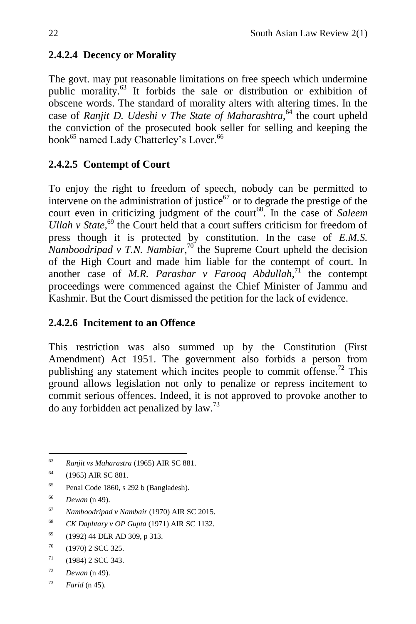# **2.4.2.4 Decency or Morality**

The govt. may put reasonable limitations on free speech which undermine public morality.<sup>63</sup> It forbids the sale or distribution or exhibition of obscene words. The standard of morality alters with altering times. In the case of *Ranjit D. Udeshi v The State of Maharashtra*,<sup>64</sup> the court upheld the conviction of the prosecuted book seller for selling and keeping the book<sup>65</sup> named Lady Chatterley's Lover.<sup>66</sup>

# **2.4.2.5 Contempt of Court**

To enjoy the right to freedom of speech, nobody can be permitted to intervene on the administration of justice $67$  or to degrade the prestige of the court even in criticizing judgment of the court<sup>68</sup>. In the case of *Saleem Ullah v State*,<sup>69</sup> the Court held that a court suffers criticism for freedom of press though it is protected by constitution. In the case of *E.M.S. Namboodripad v T.N. Nambiar*,<sup>70</sup> the Supreme Court upheld the decision of the High Court and made him liable for the contempt of court. In another case of *M.R. Parashar v Farooq Abdullah*,<sup> $71$ </sup> the contempt proceedings were commenced against the Chief Minister of Jammu and Kashmir. But the Court dismissed the petition for the lack of evidence.

# **2.4.2.6 Incitement to an Offence**

This restriction was also summed up by the Constitution (First Amendment) Act 1951. The government also forbids a person from publishing any statement which incites people to commit offense.<sup>72</sup> This ground allows legislation not only to penalize or repress incitement to commit serious offences. Indeed, it is not approved to provoke another to do any forbidden act penalized by law.<sup>73</sup>

<sup>65</sup> Penal Code 1860, s 292 b (Bangladesh).

<sup>68</sup> *CK Daphtary v OP Gupta* (1971) AIR SC 1132.

- $71$  (1984) 2 SCC 343.
- <sup>72</sup> *Dewan* (n 49).

<sup>63</sup> <sup>63</sup> *Ranjit vs Maharastra* (1965) AIR SC 881.

 $64$  (1965) AIR SC 881.

<sup>66</sup> *Dewan* (n 49).

<sup>67</sup> *Namboodripad v Nambair* (1970) AIR SC 2015.

<sup>69</sup> (1992) 44 DLR AD 309, p 313.

 $70$  (1970) 2 SCC 325.

<sup>73</sup> *Farid* (n 45).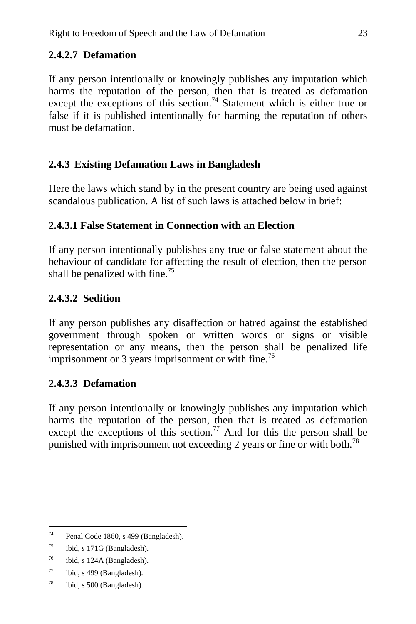# **2.4.2.7 Defamation**

If any person intentionally or knowingly publishes any imputation which harms the reputation of the person, then that is treated as defamation except the exceptions of this section.<sup>74</sup> Statement which is either true or false if it is published intentionally for harming the reputation of others must be defamation.

# **2.4.3 Existing Defamation Laws in Bangladesh**

Here the laws which stand by in the present country are being used against scandalous publication. A list of such laws is attached below in brief:

# **2.4.3.1 False Statement in Connection with an Election**

If any person intentionally publishes any true or false statement about the behaviour of candidate for affecting the result of election, then the person shall be penalized with fine.<sup>75</sup>

# **2.4.3.2 Sedition**

If any person publishes any disaffection or hatred against the established government through spoken or written words or signs or visible representation or any means, then the person shall be penalized life imprisonment or 3 years imprisonment or with fine.<sup>76</sup>

# **2.4.3.3 Defamation**

If any person intentionally or knowingly publishes any imputation which harms the reputation of the person, then that is treated as defamation except the exceptions of this section.<sup>77</sup> And for this the person shall be punished with imprisonment not exceeding 2 years or fine or with both.<sup>78</sup>

 $74$ Penal Code 1860, s 499 (Bangladesh).

 $^{75}$  ibid, s 171G (Bangladesh).

 $^{76}$  ibid, s 124A (Bangladesh).

 $77$  ibid, s 499 (Bangladesh).

<sup>78</sup> ibid, s 500 (Bangladesh).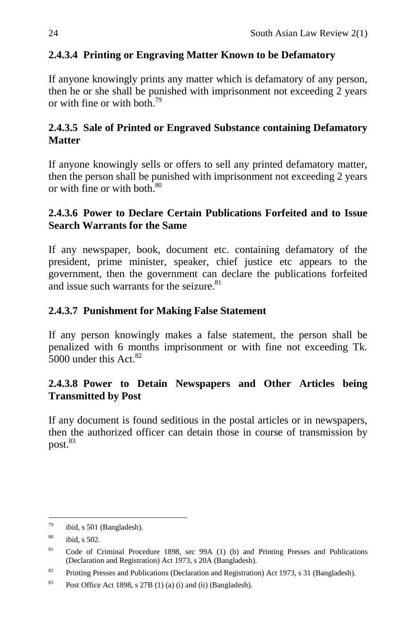# **2.4.3.4 Printing or Engraving Matter Known to be Defamatory**

If anyone knowingly prints any matter which is defamatory of any person, then he or she shall be punished with imprisonment not exceeding 2 years or with fine or with both.<sup>79</sup>

## **2.4.3.5 Sale of Printed or Engraved Substance containing Defamatory Matter**

If anyone knowingly sells or offers to sell any printed defamatory matter, then the person shall be punished with imprisonment not exceeding 2 years or with fine or with both  $80$ 

### **2.4.3.6 Power to Declare Certain Publications Forfeited and to Issue Search Warrants for the Same**

If any newspaper, book, document etc. containing defamatory of the president, prime minister, speaker, chief justice etc appears to the government, then the government can declare the publications forfeited and issue such warrants for the seizure.<sup>81</sup>

## **2.4.3.7 Punishment for Making False Statement**

If any person knowingly makes a false statement, the person shall be penalized with 6 months imprisonment or with fine not exceeding Tk.  $5000$  under this Act<sup>82</sup>

## **2.4.3.8 Power to Detain Newspapers and Other Articles being Transmitted by Post**

If any document is found seditious in the postal articles or in newspapers, then the authorized officer can detain those in course of transmission by  $post.<sup>83</sup>$ 

<sup>79</sup> ibid, s 501 (Bangladesh).

<sup>80</sup> ibid, s 502.

<sup>81</sup> Code of Criminal Procedure 1898, sec 99A (1) (b) and Printing Presses and [Publications](http://bdlaws.minlaw.gov.bd/act-437.html) (Declaration and [Registration\)](http://bdlaws.minlaw.gov.bd/act-437.html) Act 1973, s 20A (Bangladesh).

<sup>&</sup>lt;sup>82</sup> Printing Presses and Publications (Declaration and Registration) Act 1973, s 31 (Bangladesh).

<sup>&</sup>lt;sup>83</sup> Post Office Act 1898, s 27B (1) (a) (i) and (ii) (Bangladesh).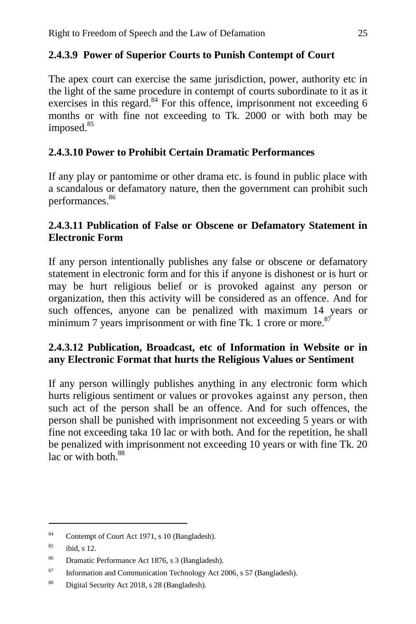### **2.4.3.9 Power of Superior Courts to Punish Contempt of Court**

The apex court can exercise the same jurisdiction, power, authority etc in the light of the same procedure in contempt of courts subordinate to it as it exercises in this regard. $84$  For this offence, imprisonment not exceeding 6 months or with fine not exceeding to Tk. 2000 or with both may be imposed.<sup>85</sup>

### **2.4.3.10 Power to Prohibit Certain Dramatic Performances**

If any play or pantomime or other drama etc. is found in public place with a scandalous or defamatory nature, then the government can prohibit such performances.<sup>86</sup>

### **2.4.3.11 Publication of False or Obscene or Defamatory Statement in Electronic Form**

If any person intentionally publishes any false or obscene or defamatory statement in electronic form and for this if anyone is dishonest or is hurt or may be hurt religious belief or is provoked against any person or organization, then this activity will be considered as an offence. And for such offences, anyone can be penalized with maximum 14 years or minimum 7 years imprisonment or with fine Tk. 1 crore or more.<sup>87</sup>

### **2.4.3.12 Publication, Broadcast, etc of Information in Website or in any Electronic Format that hurts the Religious Values or Sentiment**

If any person willingly publishes anything in any electronic form which hurts religious sentiment or values or provokes against any person, then such act of the person shall be an offence. And for such offences, the person shall be punished with imprisonment not exceeding 5 years or with fine not exceeding taka 10 lac or with both. And for the repetition, he shall be penalized with imprisonment not exceeding 10 years or with fine Tk. 20  $\overline{\phantom{a}}$  lac or with both  $^{88}$ 

<sup>84</sup> Contempt of Court Act 1971, s 10 (Bangladesh).

 $85$  ibid, s 12.

<sup>86</sup> Dramatic Performance Act 1876, s 3 (Bangladesh).

<sup>87</sup> Information and Communication Technology Act 2006, s 57 (Bangladesh).

<sup>88</sup> Digital Security Act 2018, s 28 (Bangladesh).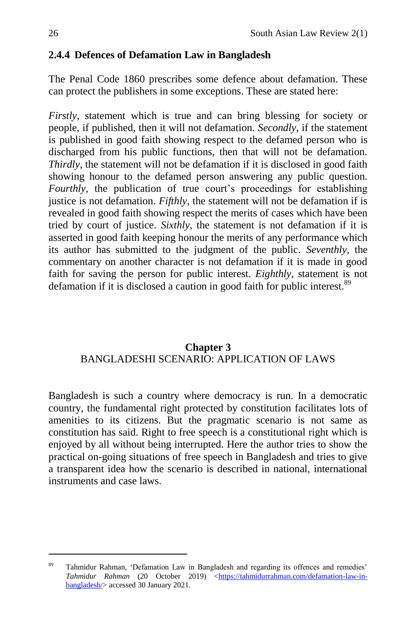## **2.4.4 Defences of Defamation Law in Bangladesh**

The Penal Code 1860 prescribes some defence about defamation. These can protect the publishers in some exceptions. These are stated here:

*Firstly*, statement which is true and can bring blessing for society or people, if published, then it will not defamation. *Secondly*, if the statement is published in good faith showing respect to the defamed person who is discharged from his public functions, then that will not be defamation. *Thirdly*, the statement will not be defamation if it is disclosed in good faith showing honour to the defamed person answering any public question. *Fourthly*, the publication of true court's proceedings for establishing justice is not defamation. *Fifthly*, the statement will not be defamation if is revealed in good faith showing respect the merits of cases which have been tried by court of justice. *Sixthly*, the statement is not defamation if it is asserted in good faith keeping honour the merits of any performance which its author has submitted to the judgment of the public. *Seventhly*, the commentary on another character is not defamation if it is made in good faith for saving the person for public interest. *Eighthly*, statement is not defamation if it is disclosed a caution in good faith for public interest.<sup>89</sup>

### **Chapter 3** BANGLADESHI SCENARIO: APPLICATION OF LAWS

Bangladesh is such a country where democracy is run. In a democratic country, the fundamental right protected by constitution facilitates lots of amenities to its citizens. But the pragmatic scenario is not same as constitution has said. Right to free speech is a constitutional right which is enjoyed by all without being interrupted. Here the author tries to show the practical on-going situations of free speech in Bangladesh and tries to give a transparent idea how the scenario is described in national, international instruments and case laws.

<sup>&</sup>lt;sup>89</sup> Tahmidur Rahman, 'Defamation Law in Bangladesh and regarding its offences and remedies' *Tahmidur Rahman* (20 October 2019) [<https://tahmidurrahman.com/defamation-law-in](https://tahmidurrahman.com/defamation-law-in-bangladesh/)[bangladesh/>](https://tahmidurrahman.com/defamation-law-in-bangladesh/) accessed 30 January 2021.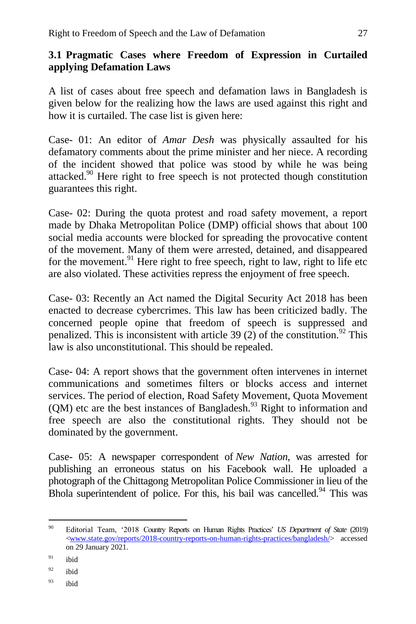### **3.1 Pragmatic Cases where Freedom of Expression in Curtailed applying Defamation Laws**

A list of cases about free speech and defamation laws in Bangladesh is given below for the realizing how the laws are used against this right and how it is curtailed. The case list is given here:

Case- 01: An editor of *Amar Desh* was physically assaulted for his defamatory comments about the prime minister and her niece. A recording of the incident showed that police was stood by while he was being attacked.<sup>90</sup> Here right to free speech is not protected though constitution guarantees this right.

Case- 02: During the quota protest and road safety movement, a report made by Dhaka Metropolitan Police (DMP) official shows that about 100 social media accounts were blocked for spreading the provocative content of the movement. Many of them were arrested, detained, and disappeared for the movement. <sup>91</sup> Here right to free speech, right to law, right to life etc are also violated. These activities repress the enjoyment of free speech.

Case- 03: Recently an Act named the Digital Security Act 2018 has been enacted to decrease cybercrimes. This law has been criticized badly. The concerned people opine that freedom of speech is suppressed and penalized. This is inconsistent with article 39 (2) of the constitution.<sup>92</sup> This law is also unconstitutional. This should be repealed.

Case- 04: A report shows that the government often intervenes in internet communications and sometimes filters or blocks access and internet services. The period of election, Road Safety Movement, Quota Movement  $(QM)$  etc are the best instances of Bangladesh.<sup>93</sup> Right to information and free speech are also the constitutional rights. They should not be dominated by the government.

Case- 05: A newspaper correspondent of *New Nation*, was arrested for publishing an erroneous status on his Facebook wall. He uploaded a photograph of the Chittagong Metropolitan Police Commissioner in lieu of the Bhola superintendent of police. For this, his bail was cancelled. $94$  This was

<sup>90</sup> <sup>90</sup> Editorial Team, '2018 Country Reports on Human Rights Practices' *US Department of State* (2019) [<www.state.gov/reports/2018-country-reports-on-human-rights-practices/bangladesh/>](http://www.state.gov/reports/2018-country-reports-on-human-rights-practices/bangladesh/) accessed on 29 January 2021.

 $91$  ibid

 $92$  ibid

<sup>93</sup> ibid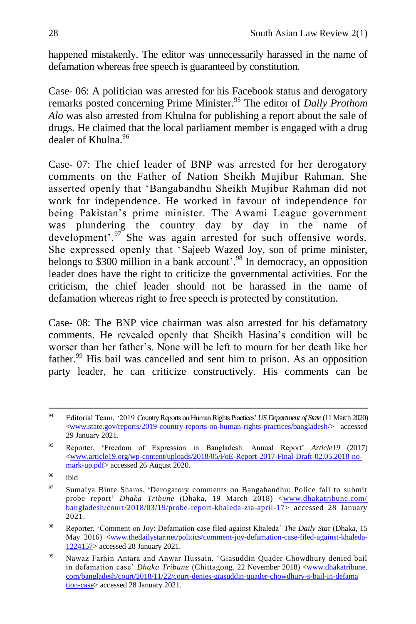happened mistakenly. The editor was unnecessarily harassed in the name of defamation whereas free speech is guaranteed by constitution.

Case- 06: A politician was arrested for his Facebook status and derogatory remarks posted concerning Prime Minister.<sup>95</sup> The editor of *Daily Prothom Alo* was also arrested from Khulna for publishing a report about the sale of drugs. He claimed that the local parliament member is engaged with a drug dealer of Khulna.<sup>96</sup>

Case- 07: The chief leader of BNP was arrested for her derogatory comments on the Father of Nation Sheikh Mujibur Rahman. She asserted openly that 'Bangabandhu Sheikh Mujibur Rahman did not work for independence. He worked in favour of independence for being Pakistan's prime minister. The Awami League government was plundering the country day by day in the name of development'. $97$  She was again arrested for such offensive words. She expressed openly that 'Sajeeb Wazed Joy, son of prime minister, belongs to \$300 million in a bank account'.<sup>98</sup> In democracy, an opposition leader does have the right to criticize the governmental activities. For the criticism, the chief leader should not be harassed in the name of defamation whereas right to free speech is protected by constitution.

Case- 08: The BNP vice chairman was also arrested for his defamatory comments. He revealed openly that Sheikh Hasina's condition will be worser than her father's. None will be left to mourn for her death like her father.<sup>99</sup> His bail was cancelled and sent him to prison. As an opposition party leader, he can criticize constructively. His comments can be

 $Q_{\Delta}$ <sup>94</sup> Editorial Team, '2019 Country Reports on Human Rights Practices' *US Department of State* (11 March 2020) [<www.state.gov/reports/2019-country-reports-on-human-rights-practices/bangladesh/>](http://www.state.gov/reports/2019-country-reports-on-human-rights-practices/bangladesh/) accessed 29 January 2021.

<sup>95</sup> Reporter, 'Freedom of Expression in Bangladesh: Annual Report' *Article19* (2017) [<www.article19.org/wp-content/uploads/2018/05/FoE-Report-2017-Final-Draft-02.05.2018-no](http://www.article19.org/wp-content/uploads/2018/05/FoE-Report-2017-Final-Draft-02.05.2018-no-mark-up.pdf)[mark-up.pdf>](http://www.article19.org/wp-content/uploads/2018/05/FoE-Report-2017-Final-Draft-02.05.2018-no-mark-up.pdf) accessed 26 August 2020.

<sup>96</sup> ibid

<sup>97</sup> Sumaiya Binte Shams, 'Derogatory comments on Bangabandhu: Police fail to submit probe report' *Dhaka Tribune* (Dhaka, 19 March 2018) [<www.dhakatribune.com/](http://www.dhakatribune.com/%20bangladesh/court/2018/03/19/probe-report-khaleda-zia-april-17)  [bangladesh/court/2018/03/19/probe-report-khaleda-zia-april-17>](http://www.dhakatribune.com/%20bangladesh/court/2018/03/19/probe-report-khaleda-zia-april-17) accessed 28 January 2021.

<sup>98</sup> Reporter, 'Comment on Joy: Defamation case filed against Khaleda´ *The Daily Sta*r (Dhaka, 15 May 2016) [<www.thedailystar.net/politics/comment-joy-defamation-case-filed-against-khaleda-](http://www.thedailystar.net/politics/comment-joy-defamation-case-filed-against-khaleda-1224157)[1224157>](http://www.thedailystar.net/politics/comment-joy-defamation-case-filed-against-khaleda-1224157) accessed 28 January 2021.

<sup>99</sup> [Nawaz Farhin Antara and Anwar Hussain, 'Giasuddin Quader Chowdhury denied bail](https://www.dhakatribune.com/author/Nawaz%20Farhin%20Antara;%20Anwar%20Hussain,%20Chittagong)  [in defamation case'](https://www.dhakatribune.com/author/Nawaz%20Farhin%20Antara;%20Anwar%20Hussain,%20Chittagong) *Dhaka Tribune* (Chittagong, 22 November 2018) <www.dhakatribune. com/bangladesh/court/2018/11/22/court-denies-giasuddin-quader-chowdhury-s-bail-in-defama tion-case> accessed 28 January 2021.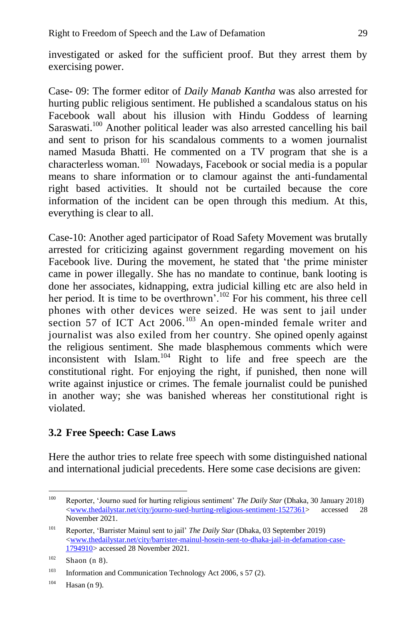investigated or asked for the sufficient proof. But they arrest them by exercising power.

Case- 09: The former editor of *Daily Manab Kantha* was also arrested for hurting public religious sentiment. He published a scandalous status on his Facebook wall about his illusion with Hindu Goddess of learning Saraswati.<sup>100</sup> Another political leader was also arrested cancelling his bail and sent to prison for his scandalous comments to a women journalist named Masuda Bhatti. He commented on a TV program that she is a characterless woman.<sup>101</sup> Nowadays, Facebook or social media is a popular means to share information or to clamour against the anti-fundamental right based activities. It should not be curtailed because the core information of the incident can be open through this medium. At this, everything is clear to all.

Case-10: Another aged participator of Road Safety Movement was brutally arrested for criticizing against government regarding movement on his Facebook live. During the movement, he stated that 'the prime minister came in power illegally. She has no mandate to continue, bank looting is done her associates, kidnapping, extra judicial killing etc are also held in her period. It is time to be overthrown<sup>'.<sup>102</sup> For his comment, his three cell</sup> phones with other devices were seized. He was sent to jail under section 57 of ICT Act 2006.<sup>103</sup> An open-minded female writer and journalist was also exiled from her country. She opined openly against the religious sentiment. She made blasphemous comments which were inconsistent with Islam.<sup>104</sup> Right to life and free speech are the constitutional right. For enjoying the right, if punished, then none will write against injustice or crimes. The female journalist could be punished in another way; she was banished whereas her constitutional right is violated.

### **3.2 Free Speech: Case Laws**

Here the author tries to relate free speech with some distinguished national and international judicial precedents. Here some case decisions are given:

 $100 -$ <sup>100</sup> Reporter, 'Journo sued for hurting religious sentiment' *The Daily Star* (Dhaka, 30 January 2018) [<www.thedailystar.net/city/journo-sued-hurting-religious-sentiment-1527361>](http://www.thedailystar.net/city/journo-sued-hurting-religious-sentiment-1527361) accessed 28 November 2021.

<sup>101</sup> Reporter, 'Barrister Mainul sent to jail' *The Daily Star* (Dhaka, 03 September 2019) [<www.thedailystar.net/city/barrister-mainul-hosein-sent-to-dhaka-jail-in-defamation-case-](http://www.thedailystar.net/city/barrister-mainul-hosein-sent-to-dhaka-jail-in-defamation-case-1794910)[1794910>](http://www.thedailystar.net/city/barrister-mainul-hosein-sent-to-dhaka-jail-in-defamation-case-1794910) accessed 28 November 2021.

 $102$  [Shaon](https://www.dhakatribune.com/author/ashif-islam-shaon) (n 8).

<sup>&</sup>lt;sup>103</sup> Information and Communication Technology Act 2006, s 57 (2).

 $104$  Hasan (n 9).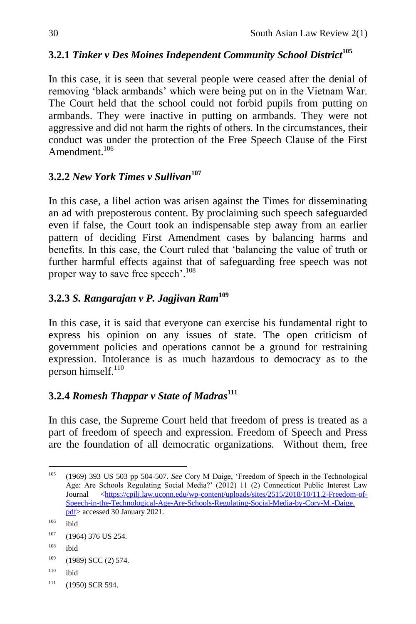# **3.2.1** *Tinker v Des Moines Independent Community School District***<sup>105</sup>**

In this case, it is seen that several people were ceased after the denial of removing 'black armbands' which were being put on in the Vietnam War. The Court held that the school could not forbid pupils from putting on armbands. They were inactive in putting on armbands. They were not aggressive and did not harm the rights of others. In the circumstances, their conduct was under the protection of the Free Speech Clause of the First Amendment $^{106}$ 

### **3.2.2** *New York Times v Sullivan***<sup>107</sup>**

In this case, a libel action was arisen against the Times for disseminating an ad with preposterous content. By proclaiming such speech safeguarded even if false, the Court took an indispensable step away from an earlier pattern of deciding First Amendment cases by balancing harms and benefits. In this case, the Court ruled that 'balancing the value of truth or further harmful effects against that of safeguarding free speech was not proper way to save free speech'.<sup>108</sup>

## **3.2.3** *S. Rangarajan v P. Jagjivan Ram***<sup>109</sup>**

In this case, it is said that everyone can exercise his fundamental right to express his opinion on any issues of state. The open criticism of government policies and operations cannot be a ground for restraining expression. Intolerance is as much hazardous to democracy as to the person himself. $110$ 

## **3.2.4** *Romesh Thappar v State of Madras***<sup>111</sup>**

In this case, the Supreme Court held that freedom of press is treated as a part of freedom of speech and expression. Freedom of Speech and Press are the foundation of all democratic organizations. Without them, free

 $\ddot{\phantom{a}}$ <sup>105</sup> (1969) 393 US 503 pp 504-507. *See* Cory M Daige, 'Freedom of Speech in the Technological Age: Are Schools Regulating Social Media?' (2012) 11 (2) Connecticut Public Interest Law Journal [<https://cpilj.law.uconn.edu/wp-content/uploads/sites/2515/2018/10/11.2-Freedom-of-](https://cpilj.law.uconn.edu/wp-content/uploads/sites/2515/2018/10/11.2-Freedom-of-Speech-in-the-Technological-Age-Are-Schools-Regulating-Social-Media-by-Cory-M.-Daige.%20pdf)[Speech-in-the-Technological-Age-Are-Schools-Regulating-Social-Media-by-Cory-M.-Daige.](https://cpilj.law.uconn.edu/wp-content/uploads/sites/2515/2018/10/11.2-Freedom-of-Speech-in-the-Technological-Age-Are-Schools-Regulating-Social-Media-by-Cory-M.-Daige.%20pdf)  [pdf>](https://cpilj.law.uconn.edu/wp-content/uploads/sites/2515/2018/10/11.2-Freedom-of-Speech-in-the-Technological-Age-Are-Schools-Regulating-Social-Media-by-Cory-M.-Daige.%20pdf) accessed 30 January 2021.

 $106$  ibid

 $107$  (1964) 376 US 254.

 $108$  ibid

 $109$  (1989) SCC (2) 574.

<sup>110</sup> ibid

 $111$  (1950) SCR 594.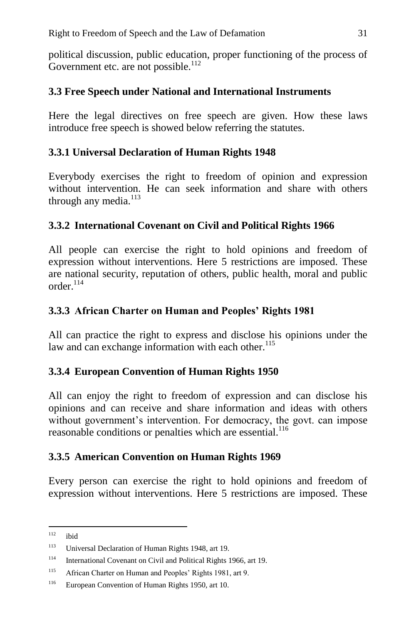political discussion, public education, proper functioning of the process of Government etc. are not possible. $^{112}$ 

### **3.3 Free Speech under National and International Instruments**

Here the legal directives on free speech are given. How these laws introduce free speech is showed below referring the statutes.

### **3.3.1 Universal Declaration of Human Rights 1948**

Everybody exercises the right to freedom of opinion and expression without intervention. He can seek information and share with others through any media.<sup>113</sup>

### **3.3.2 International Covenant on Civil and Political Rights 1966**

All people can exercise the right to hold opinions and freedom of expression without interventions. Here 5 restrictions are imposed. These are national security, reputation of others, public health, moral and public order $114$ 

### **3.3.3 African Charter on Human and Peoples' Rights 1981**

All can practice the right to express and disclose his opinions under the law and can exchange information with each other.<sup>115</sup>

### **3.3.4 European Convention of Human Rights 1950**

All can enjoy the right to freedom of expression and can disclose his opinions and can receive and share information and ideas with others without government's intervention. For democracy, the govt. can impose reasonable conditions or penalties which are essential.<sup>116</sup>

### **3.3.5 American Convention on Human Rights 1969**

Every person can exercise the right to hold opinions and freedom of expression without interventions. Here 5 restrictions are imposed. These

 $112$ ibid

<sup>113</sup> Universal Declaration of Human Rights 1948, art 19.

<sup>114</sup> International Covenant on Civil and Political Rights 1966, art 19.

<sup>&</sup>lt;sup>115</sup> African Charter on Human and Peoples' Rights 1981, art 9.

<sup>116</sup> European Convention of Human Rights 1950, art 10.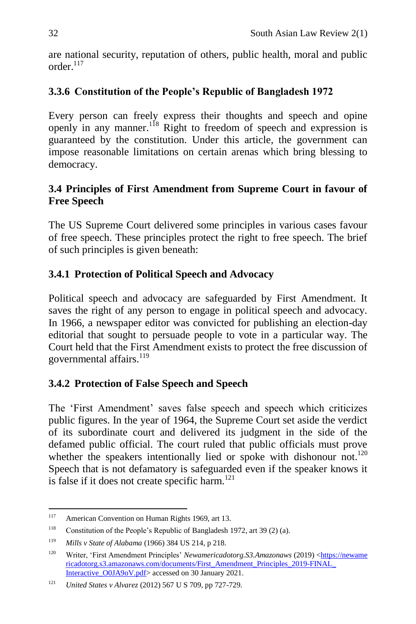are national security, reputation of others, public health, moral and public order $117$ 

## **3.3.6 Constitution of the People's Republic of Bangladesh 1972**

Every person can freely express their thoughts and speech and opine openly in any manner.<sup>118</sup> Right to freedom of speech and expression is guaranteed by the constitution. Under this article, the government can impose reasonable limitations on certain arenas which bring blessing to democracy.

### **3.4 Principles of First Amendment from Supreme Court in favour of Free Speech**

The US Supreme Court delivered some principles in various cases favour of free speech. These principles protect the right to free speech. The brief of such principles is given beneath:

## **3.4.1 Protection of Political Speech and Advocacy**

Political speech and advocacy are safeguarded by First Amendment. It saves the right of any person to engage in political speech and advocacy. In 1966, a newspaper editor was convicted for publishing an election-day editorial that sought to persuade people to vote in a particular way. The Court held that the First Amendment exists to protect the free discussion of governmental affairs.<sup>119</sup>

## **3.4.2 Protection of False Speech and Speech**

The 'First Amendment' saves false speech and speech which criticizes public figures. In the year of 1964, the Supreme Court set aside the verdict of its subordinate court and delivered its judgment in the side of the defamed public official. The court ruled that public officials must prove whether the speakers intentionally lied or spoke with dishonour not.<sup>120</sup> Speech that is not defamatory is safeguarded even if the speaker knows it is false if it does not create specific harm.<sup>121</sup>

<sup>117</sup> American Convention on Human Rights 1969, art 13.

<sup>118</sup> Constitution of the People's Republic of Bangladesh 1972, art 39 (2) (a).

<sup>119</sup> *Mills v State of Alabama* (1966) 384 US 214, p 218.

<sup>120</sup> Writer, 'First Amendment Principles' *Newamericadotorg.S3.Amazonaws* (2019) <https://newame ricadotorg.s3.amazonaws.com/documents/First\_Amendment\_Principles\_2019-FINAL\_ Interactive\_O0JA9oV.pdf> accessed on 30 January 2021.

<sup>121</sup> *United States v Alvarez* (2012) 567 U S 709, pp 727-729.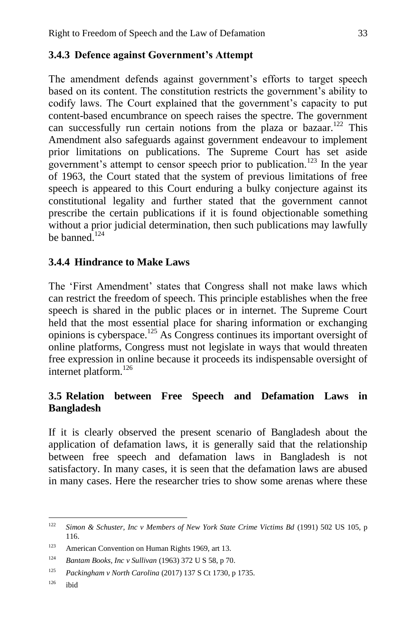## **3.4.3 Defence against Government's Attempt**

The amendment defends against government's efforts to target speech based on its content. The constitution restricts the government's ability to codify laws. The Court explained that the government's capacity to put content-based encumbrance on speech raises the spectre. The government can successfully run certain notions from the plaza or bazaar.<sup>122</sup> This Amendment also safeguards against government endeavour to implement prior limitations on publications. The Supreme Court has set aside government's attempt to censor speech prior to publication.<sup>123</sup> In the year of 1963, the Court stated that the system of previous limitations of free speech is appeared to this Court enduring a bulky conjecture against its constitutional legality and further stated that the government cannot prescribe the certain publications if it is found objectionable something without a prior judicial determination, then such publications may lawfully be banned.<sup>124</sup>

### **3.4.4 Hindrance to Make Laws**

The 'First Amendment' states that Congress shall not make laws which can restrict the freedom of speech. This principle establishes when the free speech is shared in the public places or in internet. The Supreme Court held that the most essential place for sharing information or exchanging opinions is cyberspace.<sup>125</sup> As Congress continues its important oversight of online platforms, Congress must not legislate in ways that would threaten free expression in online because it proceeds its indispensable oversight of internet platform.<sup>126</sup>

### **3.5 Relation between Free Speech and Defamation Laws in Bangladesh**

If it is clearly observed the present scenario of Bangladesh about the application of defamation laws, it is generally said that the relationship between free speech and defamation laws in Bangladesh is not satisfactory. In many cases, it is seen that the defamation laws are abused in many cases. Here the researcher tries to show some arenas where these

<sup>122</sup> <sup>122</sup> *Simon & Schuster, Inc v Members of New York State Crime Victims Bd* (1991) 502 US 105, p 116.

<sup>&</sup>lt;sup>123</sup> American Convention on Human Rights 1969, art 13.

<sup>124</sup> *Bantam Books, Inc v Sullivan* (1963) 372 U S 58, p 70.

<sup>125</sup> *Packingham v North Carolina* (2017) 137 S Ct 1730, p 1735.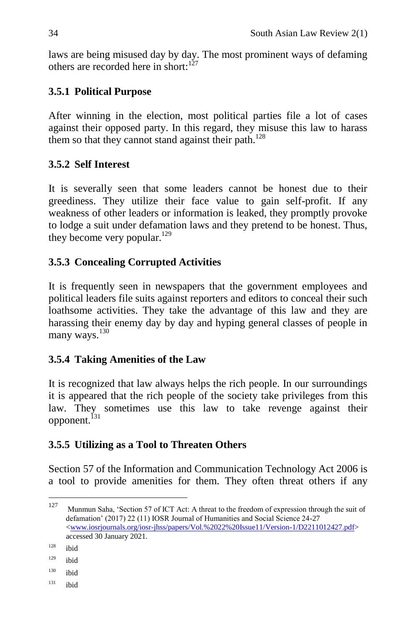laws are being misused day by day. The most prominent ways of defaming others are recorded here in short: $127$ 

## **3.5.1 Political Purpose**

After winning in the election, most political parties file a lot of cases against their opposed party. In this regard, they misuse this law to harass them so that they cannot stand against their path.<sup>128</sup>

## **3.5.2 Self Interest**

It is severally seen that some leaders cannot be honest due to their greediness. They utilize their face value to gain self-profit. If any weakness of other leaders or information is leaked, they promptly provoke to lodge a suit under defamation laws and they pretend to be honest. Thus, they become very popular.<sup>129</sup>

## **3.5.3 Concealing Corrupted Activities**

It is frequently seen in newspapers that the government employees and political leaders file suits against reporters and editors to conceal their such loathsome activities. They take the advantage of this law and they are harassing their enemy day by day and hyping general classes of people in many ways.<sup>130</sup>

### **3.5.4 Taking Amenities of the Law**

It is recognized that law always helps the rich people. In our surroundings it is appeared that the rich people of the society take privileges from this law. They sometimes use this law to take revenge against their opponent.<sup>131</sup>

### **3.5.5 Utilizing as a Tool to Threaten Others**

Section 57 of the Information and Communication Technology Act 2006 is a tool to provide amenities for them. They often threat others if any

<sup>127</sup> Munmun Saha, 'Section 57 of ICT Act: A threat to the freedom of expression through the suit of defamation' (2017) 22 (11) IOSR Journal of Humanities and Social Science 24-27 [<www.iosrjournals.org/iosr-jhss/papers/Vol.%2022%20Issue11/Version-1/D2211012427.pdf>](http://www.iosrjournals.org/iosr-jhss/papers/Vol.%2022%20Issue11/Version-1/D2211012427.pdf) accessed 30 January 2021.

 $128$  ibid

 $129$  ibid

 $130$  ibid

 $131$  ibid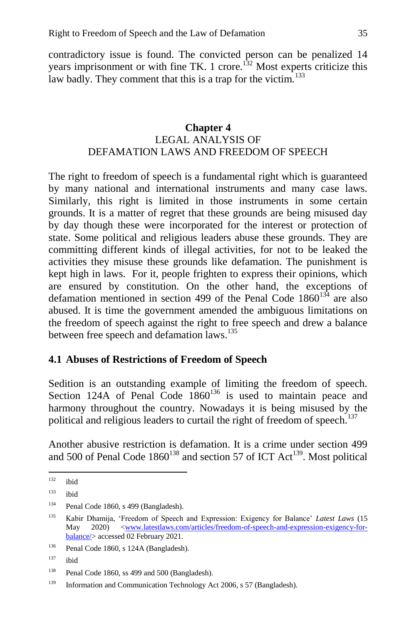contradictory issue is found. The convicted person can be penalized 14 years imprisonment or with fine TK. 1 crore.<sup>132</sup> Most experts criticize this law badly. They comment that this is a trap for the victim.<sup>133</sup>

### **Chapter 4** LEGAL ANALYSIS OF DEFAMATION LAWS AND FREEDOM OF SPEECH

The right to freedom of speech is a fundamental right which is guaranteed by many national and international instruments and many case laws. Similarly, this right is limited in those instruments in some certain grounds. It is a matter of regret that these grounds are being misused day by day though these were incorporated for the interest or protection of state. Some political and religious leaders abuse these grounds. They are committing different kinds of illegal activities, for not to be leaked the activities they misuse these grounds like defamation. The punishment is kept high in laws. For it, people frighten to express their opinions, which are ensured by constitution. On the other hand, the exceptions of defamation mentioned in section 499 of the Penal Code  $1860^{134}$  are also abused. It is time the government amended the ambiguous limitations on the freedom of speech against the right to free speech and drew a balance between free speech and defamation laws.<sup>135</sup>

### **4.1 Abuses of Restrictions of Freedom of Speech**

Sedition is an outstanding example of limiting the freedom of speech. Section 124A of Penal Code  $1860^{136}$  is used to maintain peace and harmony throughout the country. Nowadays it is being misused by the political and religious leaders to curtail the right of freedom of speech.<sup>137</sup>

Another abusive restriction is defamation. It is a crime under section 499 and 500 of Penal Code  $1860^{138}$  and section 57 of ICT Act<sup>139</sup>. Most political

<sup>132</sup> ibid

 $133$  ibid

<sup>134</sup> Penal Code 1860, s 499 (Bangladesh).

<sup>135</sup> Kabir Dhamija, 'Freedom of Speech and Expression: Exigency for Balance' *Latest Laws* (15 May 2020) [<www.latestlaws.com/articles/freedom-of-speech-and-expression-exigency-for](http://www.latestlaws.com/articles/freedom-of-speech-and-expression-exigency-for-balance/)[balance/>](http://www.latestlaws.com/articles/freedom-of-speech-and-expression-exigency-for-balance/) accessed 02 February 2021.

<sup>136</sup> Penal Code 1860, s 124A (Bangladesh).

 $137$  ibid

<sup>&</sup>lt;sup>138</sup> Penal Code 1860, ss 499 and 500 (Bangladesh).

<sup>139</sup> Information and Communication Technology Act 2006, s 57 (Bangladesh).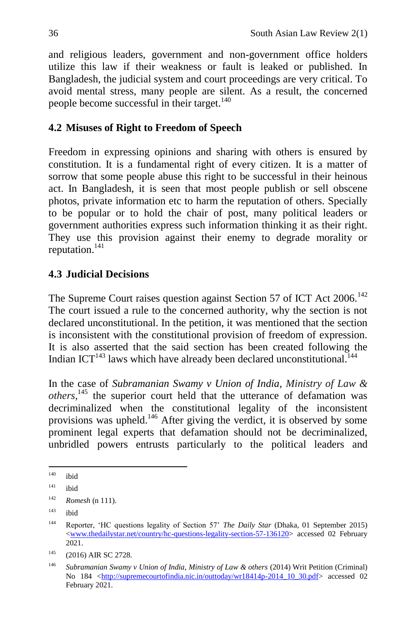and religious leaders, government and non-government office holders utilize this law if their weakness or fault is leaked or published. In Bangladesh, the judicial system and court proceedings are very critical. To avoid mental stress, many people are silent. As a result, the concerned people become successful in their target.<sup>140</sup>

## **4.2 Misuses of Right to Freedom of Speech**

Freedom in expressing opinions and sharing with others is ensured by constitution. It is a fundamental right of every citizen. It is a matter of sorrow that some people abuse this right to be successful in their heinous act. In Bangladesh, it is seen that most people publish or sell obscene photos, private information etc to harm the reputation of others. Specially to be popular or to hold the chair of post, many political leaders or government authorities express such information thinking it as their right. They use this provision against their enemy to degrade morality or reputation. $141$ 

# **4.3 Judicial Decisions**

The Supreme Court raises question against Section 57 of ICT Act 2006.<sup>142</sup> The court issued a rule to the concerned authority, why the section is not declared unconstitutional. In the petition, it was mentioned that the section is inconsistent with the constitutional provision of freedom of expression. It is also asserted that the said section has been created following the Indian ICT<sup>143</sup> laws which have already been declared unconstitutional.<sup>144</sup>

In the case of *Subramanian Swamy v Union of India, Ministry of Law & others*, <sup>145</sup> the superior court held that the utterance of defamation was decriminalized when the constitutional legality of the inconsistent provisions was upheld.<sup>146</sup> After giving the verdict, it is observed by some prominent legal experts that defamation should not be decriminalized, unbridled powers entrusts particularly to the political leaders and

 $\ddot{\phantom{a}}$ <sup>140</sup> ibid

<sup>141</sup> ibid

<sup>142</sup> *Romesh* (n 111).

<sup>143</sup> ibid

<sup>144</sup> Reporter, 'HC questions legality of Section 57' *The Daily Star* (Dhaka, 01 September 2015) [<www.thedailystar.net/country/hc-questions-legality-section-57-136120>](http://www.thedailystar.net/country/hc-questions-legality-section-57-136120) accessed 02 February 2021.

<sup>&</sup>lt;sup>145</sup> (2016) AIR SC 2728.

<sup>146</sup> *Subramanian Swamy v Union of India, Ministry of Law & others* (2014) Writ Petition (Criminal) No 184 [<http://supremecourtofindia.nic.in/outtoday/wr18414p-2014\\_10\\_30.pdf>](http://supremecourtofindia.nic.in/outtoday/wr18414p-2014_10_30.pdf) accessed 02 February 2021.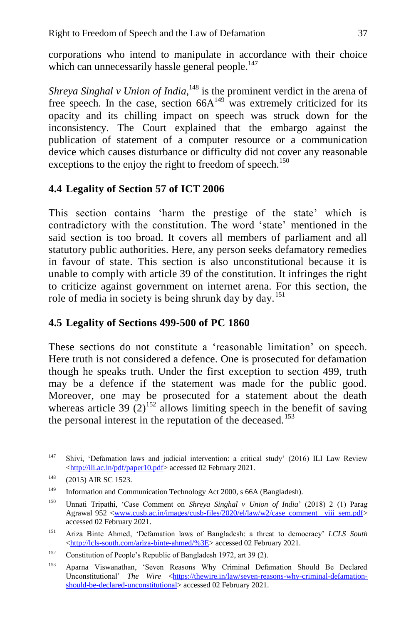corporations who intend to manipulate in accordance with their choice which can unnecessarily hassle general people. $147$ 

Shreya Singhal v Union of India,<sup>148</sup> is the prominent verdict in the arena of free speech. In the case, section  $66A^{149}$  was extremely criticized for its opacity and its chilling impact on speech was struck down for the inconsistency. The Court explained that the embargo against the publication of statement of a computer resource or a communication device which causes disturbance or difficulty did not cover any reasonable exceptions to the enjoy the right to freedom of speech.<sup>150</sup>

### **4.4 Legality of Section 57 of ICT 2006**

This section contains 'harm the prestige of the state' which is contradictory with the constitution. The word 'state' mentioned in the said section is too broad. It covers all members of parliament and all statutory public authorities. Here, any person seeks defamatory remedies in favour of state. This section is also unconstitutional because it is unable to comply with article 39 of the constitution. It infringes the right to criticize against government on internet arena. For this section, the role of media in society is being shrunk day by day.<sup>151</sup>

### **4.5 Legality of Sections 499-500 of PC 1860**

These sections do not constitute a 'reasonable limitation' on speech. Here truth is not considered a defence. One is prosecuted for defamation though he speaks truth. Under the first exception to section 499, truth may be a defence if the statement was made for the public good. Moreover, one may be prosecuted for a statement about the death whereas article 39  $(2)^{152}$  allows limiting speech in the benefit of saving the personal interest in the reputation of the deceased.<sup>153</sup>

<sup>147</sup> <sup>147</sup> Shivi, 'Defamation laws and judicial intervention: a critical study' (2016) ILI Law Review [<http://ili.ac.in/pdf/paper10.pdf>](http://ili.ac.in/pdf/paper10.pdf) accessed 02 February 2021.

<sup>&</sup>lt;sup>148</sup> (2015) AIR SC 1523.

<sup>&</sup>lt;sup>149</sup> Information and Communication Technology Act 2000, s 66A (Bangladesh).

<sup>150</sup> Unnati Tripathi, 'Case Comment on *Shreya Singhal v Union of India*' (2018) 2 (1) Parag Agrawal 952 [<www.cusb.ac.in/images/cusb-files/2020/el/law/w2/case\\_comment\\_ viii\\_sem.pdf>](http://www.cusb.ac.in/images/cusb-files/2020/el/law/w2/case_comment_%20viii_sem.pdf) accessed 02 February 2021.

<sup>151</sup> Ariza Binte Ahmed, 'Defamation laws of Bangladesh: a threat to democracy' *LCLS South* [<http://lcls-south.com/ariza-binte-ahmed/%3E>](http://lcls-south.com/ariza-binte-ahmed/%3E) accessed 02 February 2021.

<sup>152</sup> Constitution of People's Republic of Bangladesh 1972, art 39 (2).

<sup>153</sup> Aparna Viswanathan, 'Seven Reasons Why Criminal Defamation Should Be Declared Unconstitutional' *The Wire* [<https://thewire.in/law/seven-reasons-why-criminal-defamation](https://thewire.in/law/seven-reasons-why-criminal-defamation-should-be-declared-unconstitutional)[should-be-declared-unconstitutional>](https://thewire.in/law/seven-reasons-why-criminal-defamation-should-be-declared-unconstitutional) accessed 02 February 2021.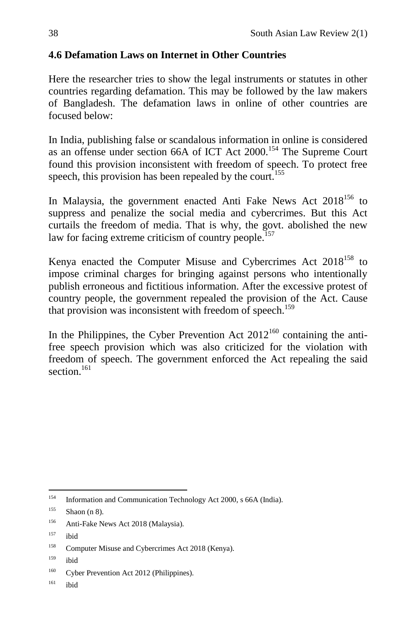## **4.6 Defamation Laws on Internet in Other Countries**

Here the researcher tries to show the legal instruments or statutes in other countries regarding defamation. This may be followed by the law makers of Bangladesh. The defamation laws in online of other countries are focused below:

In India, publishing false or scandalous information in online is considered as an offense under section 66A of ICT Act 2000.<sup>154</sup> The Supreme Court found this provision inconsistent with freedom of speech. To protect free speech, this provision has been repealed by the court.<sup>155</sup>

In Malaysia, the government enacted Anti Fake News Act  $2018^{156}$  to suppress and penalize the social media and cybercrimes. But this Act curtails the freedom of media. That is why, the govt. abolished the new law for facing extreme criticism of country people.<sup>157</sup>

Kenya enacted the Computer Misuse and Cybercrimes Act 2018<sup>158</sup> to impose criminal charges for bringing against persons who intentionally publish erroneous and fictitious information. After the excessive protest of country people, the government repealed the provision of the Act. Cause that provision was inconsistent with freedom of speech.<sup>159</sup>

In the Philippines, the Cyber Prevention Act  $2012^{160}$  containing the antifree speech provision which was also criticized for the violation with freedom of speech. The government enforced the Act repealing the said section $161$ 

 $161$  ibid

<sup>154</sup> Information and Communication Technology Act 2000, s 66A (India).

 $155$  Shaon (n 8).

<sup>156</sup> Anti-Fake News Act 2018 (Malaysia).

 $157$  ibid

<sup>&</sup>lt;sup>158</sup> Computer Misuse and Cybercrimes Act 2018 (Kenya).

 $159$  ibid

<sup>&</sup>lt;sup>160</sup> Cyber Prevention Act 2012 (Philippines).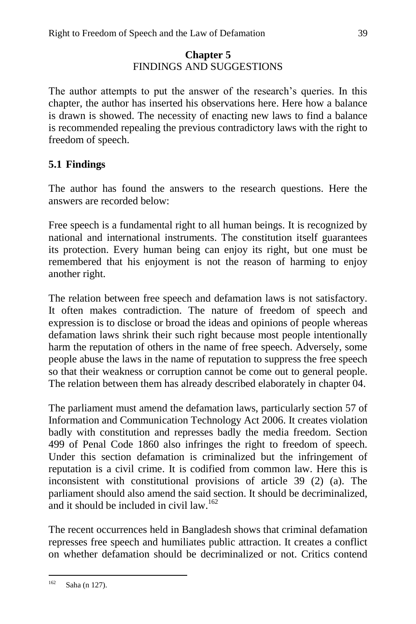### **Chapter 5** FINDINGS AND SUGGESTIONS

The author attempts to put the answer of the research's queries. In this chapter, the author has inserted his observations here. Here how a balance is drawn is showed. The necessity of enacting new laws to find a balance is recommended repealing the previous contradictory laws with the right to freedom of speech.

## **5.1 Findings**

The author has found the answers to the research questions. Here the answers are recorded below:

Free speech is a fundamental right to all human beings. It is recognized by national and international instruments. The constitution itself guarantees its protection. Every human being can enjoy its right, but one must be remembered that his enjoyment is not the reason of harming to enjoy another right.

The relation between free speech and defamation laws is not satisfactory. It often makes contradiction. The nature of freedom of speech and expression is to disclose or broad the ideas and opinions of people whereas defamation laws shrink their such right because most people intentionally harm the reputation of others in the name of free speech. Adversely, some people abuse the laws in the name of reputation to suppress the free speech so that their weakness or corruption cannot be come out to general people. The relation between them has already described elaborately in chapter 04.

The parliament must amend the defamation laws, particularly section 57 of Information and Communication Technology Act 2006. It creates violation badly with constitution and represses badly the media freedom. Section 499 of Penal Code 1860 also infringes the right to freedom of speech. Under this section defamation is criminalized but the infringement of reputation is a civil crime. It is codified from common law. Here this is inconsistent with constitutional provisions of article 39 (2) (a). The parliament should also amend the said section. It should be decriminalized, and it should be included in civil  $law$ <sup>162</sup>

The recent occurrences held in Bangladesh shows that criminal defamation represses free speech and humiliates public attraction. It creates a conflict on whether defamation should be decriminalized or not. Critics contend

<sup>162</sup> Saha (n 127).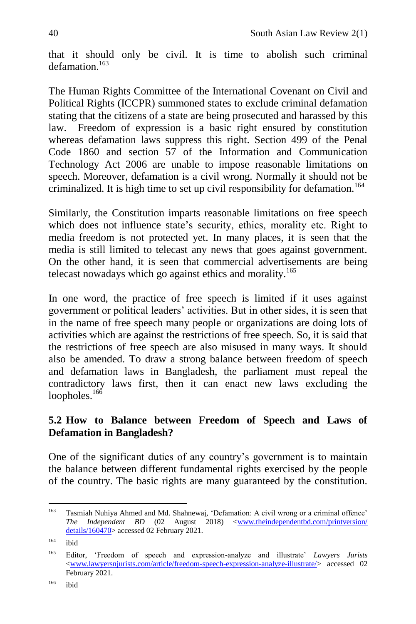that it should only be civil. It is time to abolish such criminal defamation<sup>163</sup>

The Human Rights Committee of the International Covenant on Civil and Political Rights (ICCPR) summoned states to exclude criminal defamation stating that the citizens of a state are being prosecuted and harassed by this law. Freedom of expression is a basic right ensured by constitution whereas defamation laws suppress this right. Section 499 of the Penal Code 1860 and section 57 of the Information and Communication Technology Act 2006 are unable to impose reasonable limitations on speech. Moreover, defamation is a civil wrong. Normally it should not be criminalized. It is high time to set up civil responsibility for defamation.<sup>164</sup>

Similarly, the Constitution imparts reasonable limitations on free speech which does not influence state's security, ethics, morality etc. Right to media freedom is not protected yet. In many places, it is seen that the media is still limited to telecast any news that goes against government. On the other hand, it is seen that commercial advertisements are being telecast nowadays which go against ethics and morality.<sup>165</sup>

In one word, the practice of free speech is limited if it uses against government or political leaders' activities. But in other sides, it is seen that in the name of free speech many people or organizations are doing lots of activities which are against the restrictions of free speech. So, it is said that the restrictions of free speech are also misused in many ways. It should also be amended. To draw a strong balance between freedom of speech and defamation laws in Bangladesh, the parliament must repeal the contradictory laws first, then it can enact new laws excluding the loopholes. $16\overline{6}$ 

### **5.2 How to Balance between Freedom of Speech and Laws of Defamation in Bangladesh?**

One of the significant duties of any country's government is to maintain the balance between different fundamental rights exercised by the people of the country. The basic rights are many guaranteed by the constitution.

<sup>163</sup> Tasmiah Nuhiya Ahmed and Md. Shahnewaj, 'Defamation: A civil wrong or a criminal offence' *The Independent BD* (02 August 2018) [<www.theindependentbd.com/printversion/](http://www.theindependentbd.com/printversion/%20details/160470)  [details/160470>](http://www.theindependentbd.com/printversion/%20details/160470) accessed 02 February 2021.

<sup>164</sup> [ibid](http://www.theindependentbd.com/printversion/details/160470)

<sup>165</sup> Editor, 'Freedom of speech and expression-analyze and illustrate' *Lawyers Jurists* [<www.lawyersnjurists.com/article/freedom-speech-expression-analyze-illustrate/>](http://www.lawyersnjurists.com/article/freedom-speech-expression-analyze-illustrate/) accessed 02 February 2021.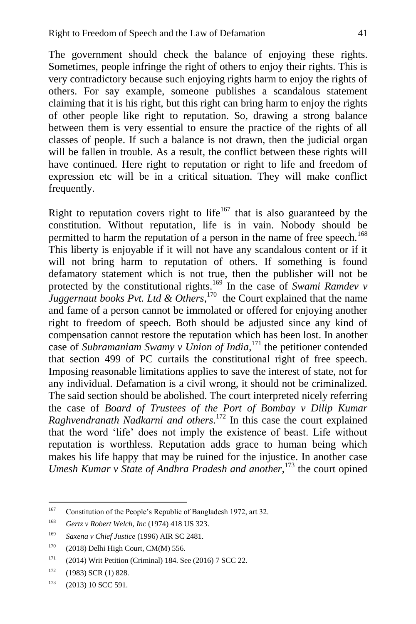The government should check the balance of enjoying these rights. Sometimes, people infringe the right of others to enjoy their rights. This is very contradictory because such enjoying rights harm to enjoy the rights of others. For say example, someone publishes a scandalous statement claiming that it is his right, but this right can bring harm to enjoy the rights of other people like right to reputation. So, drawing a strong balance between them is very essential to ensure the practice of the rights of all classes of people. If such a balance is not drawn, then the judicial organ will be fallen in trouble. As a result, the conflict between these rights will have continued. Here right to reputation or right to life and freedom of expression etc will be in a critical situation. They will make conflict frequently.

Right to reputation covers right to life<sup>167</sup> that is also guaranteed by the constitution. Without reputation, life is in vain. Nobody should be permitted to harm the reputation of a person in the name of free speech.<sup>168</sup> This liberty is enjoyable if it will not have any scandalous content or if it will not bring harm to reputation of others. If something is found defamatory statement which is not true, then the publisher will not be protected by the constitutional rights.<sup>169</sup> In the case of *Swami Ramdev v Juggernaut books Pvt. Ltd & Others*, 170 the Court explained that the name and fame of a person cannot be immolated or offered for enjoying another right to freedom of speech. Both should be adjusted since any kind of compensation cannot restore the reputation which has been lost. In another case of *Subramaniam Swamy v Union of India*, <sup>171</sup> the petitioner contended that section 499 of PC curtails the constitutional right of free speech. Imposing reasonable limitations applies to save the interest of state, not for any individual. Defamation is a civil wrong, it should not be criminalized. The said section should be abolished. The court interpreted nicely referring the case of *Board of Trustees of the Port of Bombay v Dilip Kumar Raghvendranath Nadkarni and others.* <sup>172</sup> In this case the court explained that the word 'life' does not imply the existence of beast. Life without reputation is worthless. Reputation adds grace to human being which makes his life happy that may be ruined for the injustice. In another case *Umesh Kumar v State of Andhra Pradesh and another,*<sup>173</sup> the court opined

<sup>&</sup>lt;sup>167</sup> Constitution of the People's Republic of Bangladesh 1972, art 32.

<sup>168</sup> *Gertz v Robert Welch, Inc* (1974) 418 US 323.

<sup>169</sup> *Saxena v Chief Justice* (1996) AIR SC 2481.

 $170$  (2018) Delhi High Court, CM(M) 556.

<sup>171</sup> (2014) Writ Petition (Criminal) 184. See (2016) 7 SCC 22.

 $172$  (1983) SCR (1) 828.

 $173$  (2013) 10 SCC 591.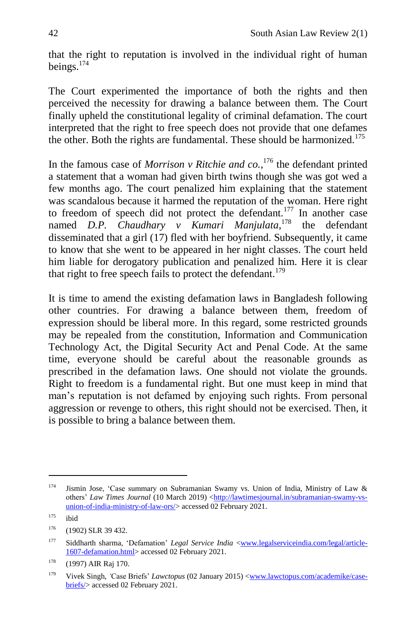that the right to reputation is involved in the individual right of human beings.<sup>174</sup>

The Court experimented the importance of both the rights and then perceived the necessity for drawing a balance between them. The Court finally upheld the constitutional legality of criminal defamation. The court interpreted that the right to free speech does not provide that one defames the other. Both the rights are fundamental. These should be harmonized.<sup>175</sup>

In the famous case of *Morrison v Ritchie and co.*,<sup>176</sup> the defendant printed a statement that a woman had given birth twins though she was got wed a few months ago. The court penalized him explaining that the statement was scandalous because it harmed the reputation of the woman. Here right to freedom of speech did not protect the defendant.<sup>177</sup> In another case named *D.P. Chaudhary v Kumari Manjulata*, <sup>178</sup> the defendant disseminated that a girl (17) fled with her boyfriend. Subsequently, it came to know that she went to be appeared in her night classes. The court held him liable for derogatory publication and penalized him. Here it is clear that right to free speech fails to protect the defendant.<sup>179</sup>

It is time to amend the existing defamation laws in Bangladesh following other countries. For drawing a balance between them, freedom of expression should be liberal more. In this regard, some restricted grounds may be repealed from the constitution, Information and Communication Technology Act, the Digital Security Act and Penal Code. At the same time, everyone should be careful about the reasonable grounds as prescribed in the defamation laws. One should not violate the grounds. Right to freedom is a fundamental right. But one must keep in mind that man's reputation is not defamed by enjoying such rights. From personal aggression or revenge to others, this right should not be exercised. Then, it is possible to bring a balance between them.

<sup>174</sup> Jismin Jose, 'Case summary on Subramanian Swamy vs. Union of India, Ministry of Law & others' *Law Times Journal* (10 March 2019) [<http://lawtimesjournal.in/subramanian-swamy-vs](http://lawtimesjournal.in/subramanian-swamy-vs-union-of-india-ministry-of-law-ors/)[union-of-india-ministry-of-law-ors/>](http://lawtimesjournal.in/subramanian-swamy-vs-union-of-india-ministry-of-law-ors/) accessed 02 February 2021.

 $175$  ibid

 $176$  (1902) SLR 39 432.

<sup>&</sup>lt;sup>177</sup> Siddharth sharma, 'Defamation' *Legal Service India* [<www.legalserviceindia.com/legal/article-](http://www.legalserviceindia.com/legal/article-1607-defamation.html)[1607-defamation.html>](http://www.legalserviceindia.com/legal/article-1607-defamation.html) accessed 02 February 2021.

<sup>178</sup> (1997) AIR Raj 170.

<sup>179</sup> Vivek Singh, *'*Case Briefs' *Lawctopus* (02 January 2015) [<www.lawctopus.com/academike/case](http://www.lawctopus.com/academike/case-briefs/)[briefs/>](http://www.lawctopus.com/academike/case-briefs/) accessed 02 February 2021.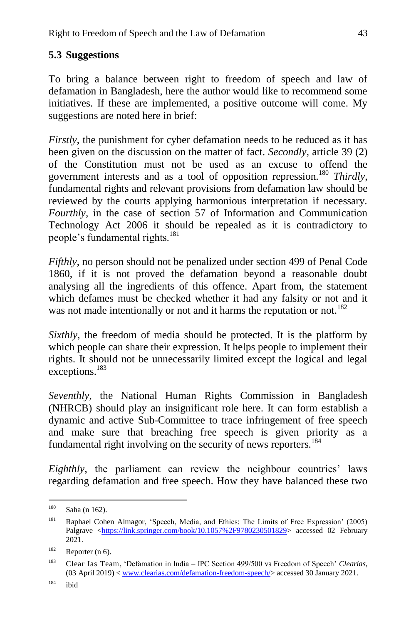## **5.3 Suggestions**

To bring a balance between right to freedom of speech and law of defamation in Bangladesh, here the author would like to recommend some initiatives. If these are implemented, a positive outcome will come. My suggestions are noted here in brief:

*Firstly*, the punishment for cyber defamation needs to be reduced as it has been given on the discussion on the matter of fact. *Secondly*, article 39 (2) of the Constitution must not be used as an excuse to offend the government interests and as a tool of opposition repression.<sup>180</sup> *Thirdly*, fundamental rights and relevant provisions from defamation law should be reviewed by the courts applying harmonious interpretation if necessary. *Fourthly*, in the case of section 57 of Information and Communication Technology Act 2006 it should be repealed as it is contradictory to people's fundamental rights.<sup>181</sup>

*Fifthly*, no person should not be penalized under section 499 of Penal Code 1860, if it is not proved the defamation beyond a reasonable doubt analysing all the ingredients of this offence. Apart from, the statement which defames must be checked whether it had any falsity or not and it was not made intentionally or not and it harms the reputation or not.<sup>182</sup>

*Sixthly*, the freedom of media should be protected. It is the platform by which people can share their expression. It helps people to implement their rights. It should not be unnecessarily limited except the logical and legal exceptions.<sup>183</sup>

*Seventhly*, the National Human Rights Commission in Bangladesh (NHRCB) should play an insignificant role here. It can form establish a dynamic and active Sub-Committee to trace infringement of free speech and make sure that breaching free speech is given priority as a fundamental right involving on the security of news reporters.<sup>184</sup>

*Eighthly*, the parliament can review the neighbour countries' laws regarding defamation and free speech. How they have balanced these two

<sup>180</sup> Saha (n 162).

<sup>181</sup> Raphael Cohen Almagor, 'Speech, Media, and Ethics: The Limits of Free Expression' (2005) Palgrave [<https://link.springer.com/book/10.1057%2F9780230501829>](https://link.springer.com/book/10.1057%2F9780230501829) accessed 02 February 2021.

 $182$  Reporter (n 6).

<sup>183</sup> [Clear Ias Team,](https://www.clearias.com/author/clear-ias-team/) 'Defamation in India – IPC Section 499/500 vs Freedom of Speech' *Clearias*, (03 April 2019) [< www.clearias.com/defamation-freedom-speech/>](http://www.clearias.com/defamation-freedom-speech/) accessed 30 January 2021.

 $184$  ibid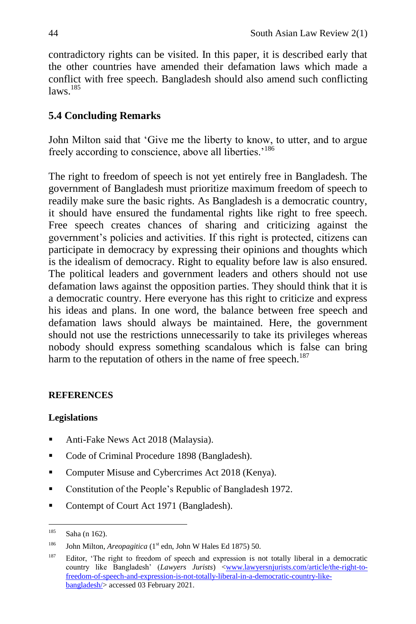contradictory rights can be visited. In this paper, it is described early that the other countries have amended their defamation laws which made a conflict with free speech. Bangladesh should also amend such conflicting  $laws.$ <sup>185</sup>

## **5.4 Concluding Remarks**

John Milton said that 'Give me the liberty to know, to utter, and to argue freely according to conscience, above all liberties.<sup>'186</sup>

The right to freedom of speech is not yet entirely free in Bangladesh. The government of Bangladesh must prioritize maximum freedom of speech to readily make sure the basic rights. As Bangladesh is a democratic country, it should have ensured the fundamental rights like right to free speech. Free speech creates chances of sharing and criticizing against the government's policies and activities. If this right is protected, citizens can participate in democracy by expressing their opinions and thoughts which is the idealism of democracy. Right to equality before law is also ensured. The political leaders and government leaders and others should not use defamation laws against the opposition parties. They should think that it is a democratic country. Here everyone has this right to criticize and express his ideas and plans. In one word, the balance between free speech and defamation laws should always be maintained. Here, the government should not use the restrictions unnecessarily to take its privileges whereas nobody should express something scandalous which is false can bring harm to the reputation of others in the name of free speech.<sup>187</sup>

### **REFERENCES**

### **Legislations**

- Anti-Fake News Act 2018 (Malaysia).
- Code of Criminal Procedure 1898 (Bangladesh).
- Computer Misuse and Cybercrimes Act 2018 (Kenya).
- Constitution of the People's Republic of Bangladesh 1972.
- Contempt of Court Act 1971 (Bangladesh).

<sup>185</sup> Saha (n 162).

<sup>&</sup>lt;sup>186</sup> John Milton, *Areopagitica* ( $1<sup>st</sup>$  edn, John W Hales Ed 1875) 50.

<sup>&</sup>lt;sup>187</sup> Editor, 'The right to freedom of speech and expression is not totally liberal in a democratic country like Bangladesh' (*Lawyers Jurists*) [<www.lawyersnjurists.com/article/the-right-to](http://www.lawyersnjurists.com/article/the-right-to-freedom-of-speech-and-expression-is-not-totally-liberal-in-a-democratic-country-like-bangladesh/)[freedom-of-speech-and-expression-is-not-totally-liberal-in-a-democratic-country-like](http://www.lawyersnjurists.com/article/the-right-to-freedom-of-speech-and-expression-is-not-totally-liberal-in-a-democratic-country-like-bangladesh/)[bangladesh/>](http://www.lawyersnjurists.com/article/the-right-to-freedom-of-speech-and-expression-is-not-totally-liberal-in-a-democratic-country-like-bangladesh/) accessed 03 February 2021.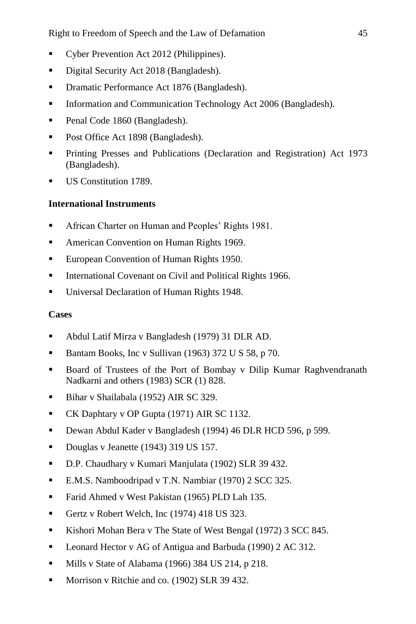- Cyber Prevention Act 2012 (Philippines).
- Digital Security Act 2018 (Bangladesh).
- **•** Dramatic Performance Act 1876 (Bangladesh).
- **Information and Communication Technology Act 2006 (Bangladesh).**
- Penal Code 1860 (Bangladesh).
- Post Office Act 1898 (Bangladesh).
- Printing Presses and Publications (Declaration and [Registration\)](http://bdlaws.minlaw.gov.bd/act-437.html) Act 1973 (Bangladesh).
- US Constitution 1789.

### **International Instruments**

- **African Charter on Human and Peoples' Rights 1981.**
- **American Convention on Human Rights 1969.**
- **European Convention of Human Rights 1950.**
- **International Covenant on Civil and Political Rights 1966.**
- **Universal Declaration of Human Rights 1948.**

### **Cases**

- Abdul Latif Mirza v Bangladesh (1979) 31 DLR AD.
- Bantam Books, Inc v Sullivan (1963) 372 U S 58, p 70.
- Board of Trustees of the Port of Bombay v Dilip Kumar Raghvendranath Nadkarni and others (1983) SCR (1) 828.
- Bihar v Shailabala (1952) AIR SC 329.
- CK Daphtary v OP Gupta (1971) AIR SC 1132.
- Dewan Abdul Kader v Bangladesh (1994) 46 DLR HCD 596, p 599.
- Douglas v Jeanette (1943) 319 US 157.
- D.P. Chaudhary v Kumari Manjulata (1902) SLR 39 432.
- E.M.S. Namboodripad v T.N. Nambiar (1970) 2 SCC 325.
- Farid Ahmed v West Pakistan (1965) PLD Lah 135.
- Gertz v Robert Welch, Inc (1974) 418 US 323.
- Kishori Mohan Bera v The State of West Bengal (1972) 3 SCC 845.
- Leonard Hector v AG of Antigua and Barbuda (1990) 2 AC 312.
- Mills v State of Alabama (1966) 384 US 214, p 218.
- **Morrison v Ritchie and co. (1902) SLR 39 432.**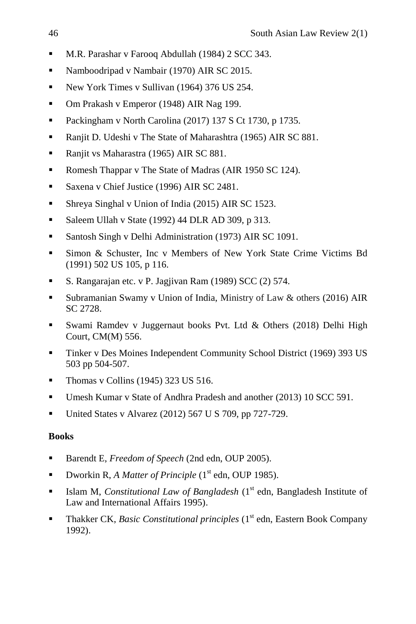- M.R. Parashar v Farooq Abdullah (1984) 2 SCC 343.
- Namboodripad v Nambair (1970) AIR SC 2015.
- New York Times v Sullivan (1964) 376 US 254.
- Om Prakash v Emperor (1948) AIR Nag 199.
- Packingham v North Carolina (2017) 137 S Ct 1730, p 1735.
- Ranjit D. Udeshi v The State of Maharashtra (1965) AIR SC 881.
- Ranjit vs Maharastra (1965) AIR SC 881.
- Romesh Thappar v The State of Madras (AIR 1950 SC 124).
- Saxena v Chief Justice (1996) AIR SC 2481.
- Shreya Singhal v Union of India (2015) AIR SC 1523.
- Saleem Ullah v State (1992) 44 DLR AD 309, p 313.
- **Santosh Singh v Delhi Administration (1973) AIR SC 1091.**
- Simon & Schuster, Inc v Members of New York State Crime Victims Bd (1991) 502 US 105, p 116.
- S. Rangarajan etc. v P. Jagjivan Ram (1989) SCC (2) 574.
- Subramanian Swamy v Union of India, Ministry of Law & others (2016) AIR SC 2728.
- Swami Ramdev v Juggernaut books Pvt. Ltd & Others (2018) Delhi High Court, CM(M) 556.
- Tinker v Des Moines Independent Community School District (1969) 393 US 503 pp 504-507.
- $\blacksquare$  Thomas v Collins (1945) 323 US 516.
- Umesh Kumar v State of Andhra Pradesh and another (2013) 10 SCC 591.
- United States v Alvarez  $(2012)$  567 U S 709, pp 727-729.

### **Books**

- Barendt E, *Freedom of Speech* (2nd edn, OUP 2005).
- Dworkin R, *A Matter of Principle* (1<sup>st</sup> edn, OUP 1985).
- Islam M, *Constitutional Law of Bangladesh* (1<sup>st</sup> edn, Bangladesh Institute of Law and International Affairs 1995).
- **Thakker CK,** *Basic Constitutional principles* (1<sup>st</sup> edn, Eastern Book Company 1992).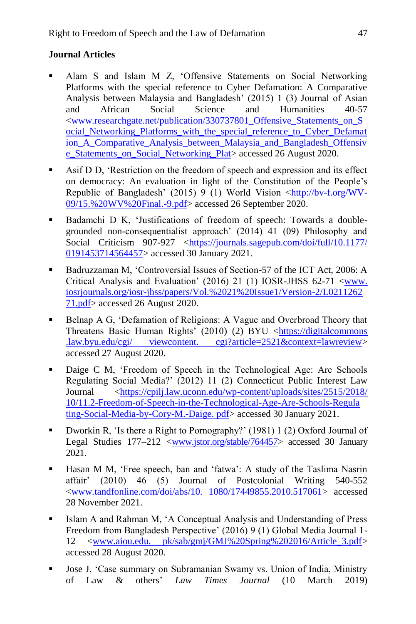### **Journal Articles**

- Alam S and Islam M Z, 'Offensive Statements on Social Networking Platforms with the special reference to Cyber Defamation: A Comparative Analysis between Malaysia and Bangladesh' (2015) 1 (3) Journal of Asian and African Social Science and Humanities 40-57 [<www.researchgate.net/publication/330737801\\_Offensive\\_Statements\\_on\\_S](http://www.researchgate.net/publication/330737801_Offensive_Statements_on_Social_Networking_Platforms_with_the_special_reference_to_Cyber_Defamation_A_Comparative_Analysis_between_Malaysia_and_Bangladesh_Offensive_Statements_on_Social_Networking_Plat) ocial Networking Platforms with the special reference to Cyber Defamat ion A Comparative Analysis between Malaysia and Bangladesh Offensiv [e\\_Statements\\_on\\_Social\\_Networking\\_Plat>](http://www.researchgate.net/publication/330737801_Offensive_Statements_on_Social_Networking_Platforms_with_the_special_reference_to_Cyber_Defamation_A_Comparative_Analysis_between_Malaysia_and_Bangladesh_Offensive_Statements_on_Social_Networking_Plat) accessed 26 August 2020.
- Asif D D, 'Restriction on the freedom of speech and expression and its effect on democracy: An evaluation in light of the Constitution of the People's Republic of Bangladesh' (2015) 9 (1) World Vision [<http://bv-f.org/WV-](http://bv-f.org/WV-09/15.%20WV%20Final.-9.pdf)[09/15.%20WV%20Final.-9.pdf>](http://bv-f.org/WV-09/15.%20WV%20Final.-9.pdf) accessed 26 September 2020.
- Badamchi D K, 'Justifications of freedom of speech: Towards a doublegrounded non-consequentialist approach' (2014) 41 (09) Philosophy and Social Criticism 907-927 [<https://journals.sagepub.com/doi/full/10.1177/](https://journals.sagepub.com/doi/full/10.1177/%200191453714564457)  [0191453714564457>](https://journals.sagepub.com/doi/full/10.1177/%200191453714564457) accessed 30 January 2021.
- Badruzzaman M, 'Controversial Issues of Section-57 of the ICT Act, 2006: A Critical Analysis and Evaluation' (2016) 21 (1) IOSR-JHSS 62-71  $\lt$ www. [iosrjournals.org/iosr-jhss/papers/Vol.%2021%20Issue1/Version-2/L0211262](http://www.iosrjournals.org/iosr-jhss/%20papers/Vol.%2021%20Issue1/Version-2/L021126271.pdf) [71.pdf>](http://www.iosrjournals.org/iosr-jhss/%20papers/Vol.%2021%20Issue1/Version-2/L021126271.pdf) accessed 26 August 2020.
- Belnap A G, 'Defamation of Religions: A Vague and Overbroad Theory that Threatens Basic Human Rights' (2010) (2) BYU <https://digitalcommons .law.byu.edu/cgi/ viewcontent. cgi?article=2521&context=lawreview> accessed 27 August 2020.
- Daige C M, 'Freedom of Speech in the Technological Age: Are Schools Regulating Social Media?' (2012) 11 (2) Connecticut Public Interest Law Journal [<https://cpilj.law.uconn.edu/wp-content/uploads/sites/2515/2018/](https://cpilj.law.uconn.edu/wp-content/uploads/sites/2515/2018/%2010/11.2-Freedom-of-Speech-in-the-Technological-Age-Are-Schools-Regula%20ting-Social-Media-by-Cory-M.-Daige.%20pdf)  [10/11.2-Freedom-of-Speech-in-the-Technological-Age-Are-Schools-Regula](https://cpilj.law.uconn.edu/wp-content/uploads/sites/2515/2018/%2010/11.2-Freedom-of-Speech-in-the-Technological-Age-Are-Schools-Regula%20ting-Social-Media-by-Cory-M.-Daige.%20pdf)  [ting-Social-Media-by-Cory-M.-Daige. pdf>](https://cpilj.law.uconn.edu/wp-content/uploads/sites/2515/2018/%2010/11.2-Freedom-of-Speech-in-the-Technological-Age-Are-Schools-Regula%20ting-Social-Media-by-Cory-M.-Daige.%20pdf) accessed 30 January 2021.
- Dworkin R, 'Is there a Right to Pornography?' (1981) 1 (2) Oxford Journal of Legal Studies 177–212 [<www.jstor.org/stable/764457>](http://www.jstor.org/stable/764457) accessed 30 January 2021.
- Hasan M M, 'Free speech, ban and 'fatwa': A study of the Taslima Nasrin affair' (2010) 46 (5) Journal of Postcolonial Writing 540-552 [<www.tandfonline.com/doi/abs/10. 1080/17449855.2010.517061>](http://www.tandfonline.com/doi/abs/10.%201080/17449855.2010.517061) accessed 28 November 2021.
- Islam A and Rahman M, 'A Conceptual Analysis and Understanding of Press Freedom from Bangladesh Perspective' (2016) 9 (1) Global Media Journal 1- 12 <www.aiou.edu. pk/sab/gmj/GMJ%20Spring%202016/Article\_3.pdf> accessed 28 August 2020.
- Jose J, 'Case summary on Subramanian Swamy vs. Union of India, Ministry of Law & others' *Law Times Journal* (10 March 2019)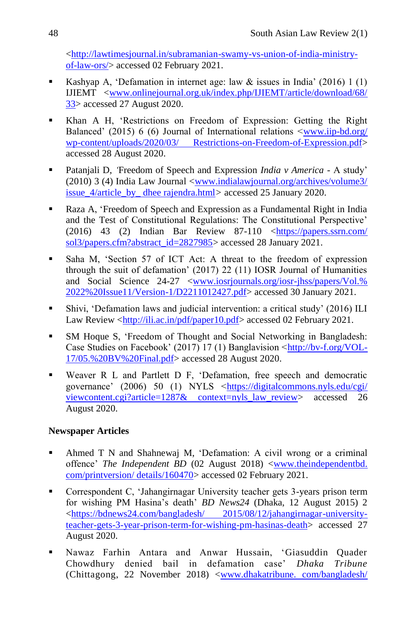[<http://lawtimesjournal.in/subramanian-swamy-vs-union-of-india-ministry](http://lawtimesjournal.in/subramanian-swamy-vs-union-of-india-ministry-of-law-ors/)[of-law-ors/>](http://lawtimesjournal.in/subramanian-swamy-vs-union-of-india-ministry-of-law-ors/) accessed 02 February 2021.

- Kashyap A, 'Defamation in internet age: law  $\&$  issues in India' (2016) 1 (1) IJIEMT [<www.onlinejournal.org.uk/index.php/IJIEMT/article/download/68/](http://www.onlinejournal.org.uk/index.php/IJIEMT/article/download/68/%2033)  [33>](http://www.onlinejournal.org.uk/index.php/IJIEMT/article/download/68/%2033) accessed 27 August 2020.
- Khan A H, 'Restrictions on Freedom of Expression: Getting the Right Balanced' (2015) 6 (6) Journal of International relations <www.iip-bd.org/ [wp-content/uploads/2020/03/ Restrictions-on-Freedom-of-Expression.pdf>](http://www.iip-bd.org/%20wp-content/uploads/2020/03/%20Restrictions-on-Freedom-of-Expression.pdf) accessed 28 August 2020.
- Patanjali D, *'*Freedom of Speech and Expression *India v America* A study' (2010) 3 (4) India Law Journal [<www.indialawjournal.org/archives/volume3/](http://www.indialawjournal.org/archives/volume3/%20issue_4/article_by_%20dhee%20rajendra.html)  [issue\\_4/article\\_by\\_ dhee rajendra.html](http://www.indialawjournal.org/archives/volume3/%20issue_4/article_by_%20dhee%20rajendra.html)*>* accessed 25 January 2020.
- Raza A, 'Freedom of Speech and Expression as a Fundamental Right in India and the Test of Constitutional Regulations: The Constitutional Perspective' (2016) 43 (2) Indian Bar Review 87-110 [<https://papers.ssrn.com/](https://papers.ssrn.com/%20sol3/papers.cfm?abstract_id=2827985)  [sol3/papers.cfm?abstract\\_id=2827985>](https://papers.ssrn.com/%20sol3/papers.cfm?abstract_id=2827985) accessed 28 January 2021.
- Saha M, 'Section 57 of ICT Act: A threat to the freedom of expression through the suit of defamation' (2017) 22 (11) IOSR Journal of Humanities and Social Science 24-27 [<www.iosrjournals.org/iosr-jhss/papers/Vol.%](http://www.iosrjournals.org/iosr-jhss/papers/Vol.%25%202022%20Issue11/Version-1/D2211012427.pdf)  [2022%20Issue11/Version-1/D2211012427.pdf>](http://www.iosrjournals.org/iosr-jhss/papers/Vol.%25%202022%20Issue11/Version-1/D2211012427.pdf) accessed 30 January 2021.
- Shivi, 'Defamation laws and judicial intervention: a critical study' (2016) ILI Law Review [<http://ili.ac.in/pdf/paper10.pdf>](http://ili.ac.in/pdf/paper10.pdf) accessed 02 February 2021.
- SM Hoque S, 'Freedom of Thought and Social Networking in Bangladesh: Case Studies on Facebook' (2017) 17 (1) Banglavision [<http://bv-f.org/VOL-](http://bv-f.org/VOL-17/05.%20BV%20Final.pdf)[17/05.%20BV%20Final.pdf>](http://bv-f.org/VOL-17/05.%20BV%20Final.pdf) accessed 28 August 2020.
- Weaver R L and Partlett D F, 'Defamation, free speech and democratic governance' (2006) 50 (1) NYLS [<https://digitalcommons.nyls.edu/cgi/](https://digitalcommons.nyls.edu/cgi/%20viewcontent.cgi?article=1287&%20context=nyls_law_review)  [viewcontent.cgi?article=1287& context=nyls\\_law\\_review>](https://digitalcommons.nyls.edu/cgi/%20viewcontent.cgi?article=1287&%20context=nyls_law_review) accessed 26 August 2020.

### **Newspaper Articles**

- Ahmed T N and Shahnewaj M, 'Defamation: A civil wrong or a criminal offence' *The Independent BD* (02 August 2018) <www.theindependentbd. com/printversion/ details/160470> accessed 02 February 2021.
- Correspondent C, 'Jahangirnagar University teacher gets 3-years prison term for wishing PM Hasina's death' *BD News24* (Dhaka, 12 August 2015) 2 [<https://bdnews24.com/bangladesh/ 2015/08/12/jahangirnagar-university](https://bdnews24.com/bangladesh/%202015/08/12/jahangirnagar-university-teacher-gets-3-year-prison-term-for-wishing-pm-hasinas-death)[teacher-gets-3-year-prison-term-for-wishing-pm-hasinas-death>](https://bdnews24.com/bangladesh/%202015/08/12/jahangirnagar-university-teacher-gets-3-year-prison-term-for-wishing-pm-hasinas-death) accessed 27 August 2020.
- [Nawaz Farhin Antara and Anwar Hussain, 'Giasuddin Quader](https://www.dhakatribune.com/author/Nawaz%20Farhin%20Antara;%20Anwar%20Hussain,%20Chittagong)  [Chowdhury denied bail in defamation case'](https://www.dhakatribune.com/author/Nawaz%20Farhin%20Antara;%20Anwar%20Hussain,%20Chittagong) *Dhaka Tribune* [\(Chittagong,](https://www.dhakatribune.com/author/Nawaz%20Farhin%20Antara;%20Anwar%20Hussain,%20Chittagong) 22 November 2018) <www.dhakatribune. com/bangladesh/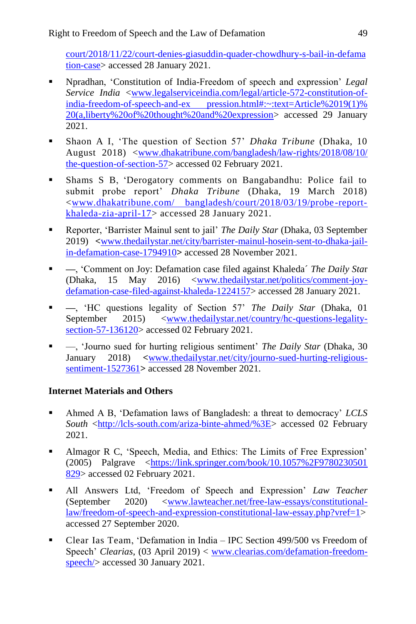court/2018/11/22/court-denies-giasuddin-quader-chowdhury-s-bail-in-defama tion-case> accessed 28 January 2021.

- Npradhan, 'Constitution of India-Freedom of speech and expression' *Legal Service India* [<www.legalserviceindia.com/legal/article-572-constitution-of](http://www.legalserviceindia.com/legal/article-572-constitution-of-india-freedom-of-speech-and-ex%20pression.html#:~:text=Article%2019(1)% 20(a,liberty%20of%20thought%20and%20expression)[india-freedom-of-speech-and-ex pression.html#:~:text=Article%2019\(1\)%](http://www.legalserviceindia.com/legal/article-572-constitution-of-india-freedom-of-speech-and-ex%20pression.html#:~:text=Article%2019(1)% 20(a,liberty%20of%20thought%20and%20expression)  [20\(a,liberty%20of%20thought%20and%20expression>](http://www.legalserviceindia.com/legal/article-572-constitution-of-india-freedom-of-speech-and-ex%20pression.html#:~:text=Article%2019(1)% 20(a,liberty%20of%20thought%20and%20expression) accessed 29 January 2021.
- [Shaon](https://www.dhakatribune.com/author/ashif-islam-shaon) A I, 'The question of Section 57' *Dhaka Tribune* (Dhaka, 10 August 2018) [<www.dhakatribune.com/bangladesh/law-rights/2018/08/10/](http://www.dhakatribune.com/bangladesh/law-rights/2018/08/10/%20the-question-of-section-57)  [the-question-of-section-57>](http://www.dhakatribune.com/bangladesh/law-rights/2018/08/10/%20the-question-of-section-57) accessed 02 February 2021.
- Shams S B, 'Derogatory comments on Bangabandhu: Police fail to submit probe report' *Dhaka Tribune* (Dhaka, 19 March 2018) [<www.dhakatribune.com/ bangladesh/court/2018/03/19/probe](http://www.dhakatribune.com/%20bangladesh/court/2018/03/19/probe-report-khaleda-zia-april-17) -report[khaleda-zia-april-17>](http://www.dhakatribune.com/%20bangladesh/court/2018/03/19/probe-report-khaleda-zia-april-17) accessed 28 January 2021.
- Reporter, 'Barrister Mainul sent to jail' *The Daily Star* (Dhaka, 03 September 2019) **<**[www.thedailystar.net/city/barrister-mainul-hosein-sent-to-dhaka-jail](http://www.thedailystar.net/city/barrister-mainul-hosein-sent-to-dhaka-jail-in-defamation-case-1794910)[in-defamation-case-1794910](http://www.thedailystar.net/city/barrister-mainul-hosein-sent-to-dhaka-jail-in-defamation-case-1794910)**>** accessed 28 November 2021.
- **—**, 'Comment on Joy: Defamation case filed against Khaleda´ *The Daily Sta*r (Dhaka, 15 May 2016) [<www.thedailystar.net/politics/comment-joy](http://www.thedailystar.net/politics/comment-joy-defamation-case-filed-against-khaleda-1224157)[defamation-case-filed-against-khaleda-1224157>](http://www.thedailystar.net/politics/comment-joy-defamation-case-filed-against-khaleda-1224157) accessed 28 January 2021.
- **—**, 'HC questions legality of Section 57' *The Daily Star* (Dhaka, 01 September 2015) [<www.thedailystar.net/country/hc-questions-legality](http://www.thedailystar.net/country/hc-questions-legality-section-57-136120)[section-57-136120>](http://www.thedailystar.net/country/hc-questions-legality-section-57-136120) accessed 02 February 2021.
- —, 'Journo sued for hurting religious sentiment' *The Daily Star* (Dhaka, 30 January 2018) **<**[www.thedailystar.net/city/journo-sued-hurting-religious](http://www.thedailystar.net/city/journo-sued-hurting-religious-sentiment-1527361)[sentiment-1527361](http://www.thedailystar.net/city/journo-sued-hurting-religious-sentiment-1527361)**>** accessed 28 November 2021.

### **Internet Materials and Others**

- Ahmed A B, 'Defamation laws of Bangladesh: a threat to democracy' *LCLS South* [<http://lcls-south.com/ariza-binte-ahmed/%3E>](http://lcls-south.com/ariza-binte-ahmed/%3E) accessed 02 February 2021.
- Almagor R C, 'Speech, Media, and Ethics: The Limits of Free Expression' (2005) Palgrave [<https://link.springer.com/book/10.1057%2F9780230501](https://link.springer.com/book/10.1057%2F9780230501%20829)  [829>](https://link.springer.com/book/10.1057%2F9780230501%20829) accessed 02 February 2021.
- All Answers Ltd, 'Freedom of Speech and Expression' *Law Teacher* (September 2020) [<www.lawteacher.net/free-law-essays/constitutional](http://www.lawteacher.net/free-law-essays/constitutional-law/freedom-of-speech-and-expression-constitutional-law-essay.php?vref=1)[law/freedom-of-speech-and-expression-constitutional-law-essay.php?vref=1>](http://www.lawteacher.net/free-law-essays/constitutional-law/freedom-of-speech-and-expression-constitutional-law-essay.php?vref=1) accessed 27 September 2020.
- [Clear Ias Team,](https://www.clearias.com/author/clear-ias-team/) 'Defamation in India IPC Section 499/500 vs Freedom of Speech' *Clearias*, (03 April 2019) < [www.clearias.com/defamation-freedom](http://www.clearias.com/defamation-freedom-speech/)speech/ $>$  accessed 30 January 2021.